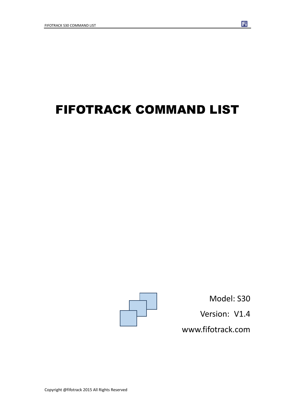# FIFOTRACK COMMAND LIST



Model: S30 Version: V1.4 www.fifotrack.com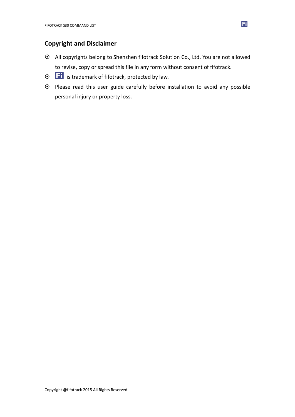#### **Copyright and Disclaimer**

- All copyrights belong to Shenzhen fifotrack Solution Co., Ltd. You are not allowed to revise, copy or spread this file in any form without consent of fifotrack.
- $\odot$   $\Box$  is trademark of fifotrack, protected by law.
- Please read this user guide carefully before installation to avoid any possible personal injury or property loss.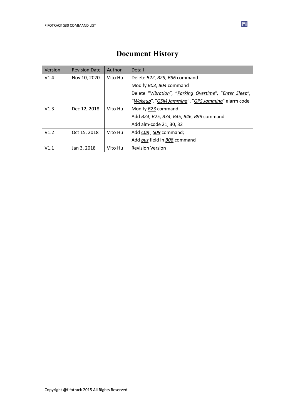### **Document History**

| <b>Version</b> | <b>Revision Date</b> | Author  | Detail                                                 |
|----------------|----------------------|---------|--------------------------------------------------------|
| V1.4           | Nov 10, 2020         | Vito Hu | Delete B22, B29, B96 command                           |
|                |                      |         | Modify B03, B04 command                                |
|                |                      |         | Delete "Vibration", "Parking Overtime", "Enter Sleep", |
|                |                      |         | "Wakeup", "GSM Jamming", "GPS Jamming" alarm code      |
| V1.3           | Dec 12, 2018         | Vito Hu | Modify B23 command                                     |
|                |                      |         | Add B24, B25, B34, B45, B46, B99 command               |
|                |                      |         | Add alm-code 21, 30, 32                                |
| V1.2           | Oct 15, 2018         | Vito Hu | Add CO8, SO9 command;                                  |
|                |                      |         | Add buz field in B08 command                           |
| V1.1           | Jan 3, 2018          | Vito Hu | <b>Revision Version</b>                                |

Copyright @fifotrack 2015 All Rights Reserved

 $\mathbf{E}$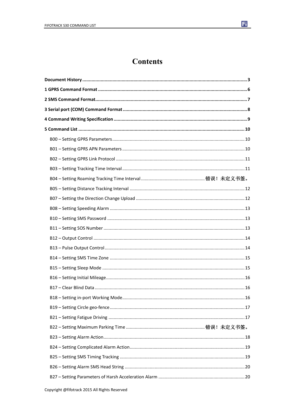

### **Contents**

| B04 – Setting Roaming Tracking Time Interval ……………………………………………错误!未定义书签。 |    |
|-------------------------------------------------------------------------|----|
|                                                                         |    |
|                                                                         |    |
|                                                                         |    |
|                                                                         |    |
|                                                                         |    |
|                                                                         |    |
|                                                                         |    |
|                                                                         |    |
|                                                                         |    |
|                                                                         |    |
|                                                                         |    |
|                                                                         | 16 |
|                                                                         |    |
|                                                                         |    |
| B22 – Setting Maximum Parking Time ………………………………………………………错误!未定义书签。       |    |
|                                                                         |    |
|                                                                         |    |
|                                                                         |    |
|                                                                         |    |
|                                                                         |    |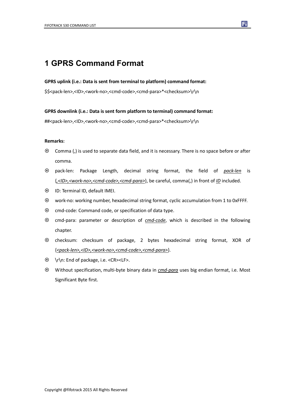### **1 GPRS Command Format**

#### **GPRS uplink (i.e.: Data is sent from terminal to platform) command format:**

\$\$<pack-len>,<ID>,<work-no>,<cmd-code>,<cmd-para>\*<checksum>\r\n

#### **GPRS downlink (i.e.: Data is sent form platform to terminal) command format:**

##<pack-len>,<ID>,<work-no>,<cmd-code>,<cmd-para>\*<checksum>\r\n

#### **Remarks:**

- Comma (,) is used to separate data field, and it is necessary. There is no space before or after comma.
- pack-len: Package Length, decimal string format, the field of *pack-len* is {*,<ID>,<work-no>,<cmd-code>,<cmd-para>*}, be careful, comma(,) in front of *ID* included.
- ID: Terminal ID, default IMEI.
- work-no: working number, hexadecimal string format, cyclic accumulation from 1 to 0xFFFF.
- $\odot$  cmd-code: Command code, or specification of data type.
- cmd-para: parameter or description of *cmd-code*, which is described in the following chapter.
- checksum: checksum of package, 2 bytes hexadecimal string format, XOR of {*<pack-len>,<ID>,<work-no>,<cmd-code>,<cmd-para>*}.
- \r\n: End of package, i.e. <CR><LF>.
- Without specification, multi-byte binary data in *cmd-para* uses big endian format, i.e. Most Significant Byte first.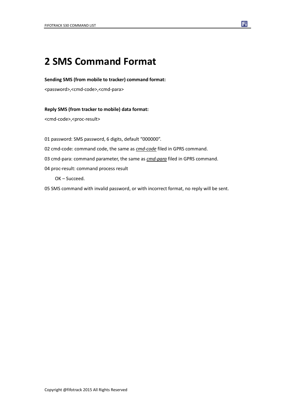## **2 SMS Command Format**

#### **Sending SMS (from mobile to tracker) command format:**

<password>,<cmd-code>,<cmd-para>

#### **Reply SMS (from tracker to mobile) data format:**

<cmd-code>,<proc-result>

01 password: SMS password, 6 digits, default "000000".

- 02 cmd-code: command code, the same as *cmd-code* filed in GPRS command.
- 03 cmd-para: command parameter, the same as *cmd-para* filed in GPRS command.
- 04 proc-result: command process result

OK – Succeed.

05 SMS command with invalid password, or with incorrect format, no reply will be sent.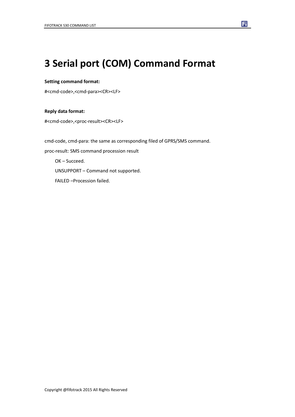## **3 Serial port (COM) Command Format**

#### **Setting command format:**

#<cmd-code>,<cmd-para><CR><LF>

#### **Reply data format:**

#<cmd-code>,<proc-result><CR><LF>

cmd-code, cmd-para: the same as corresponding filed of GPRS/SMS command. proc-result: SMS command procession result OK – Succeed. UNSUPPORT – Command not supported. FAILED –Procession failed.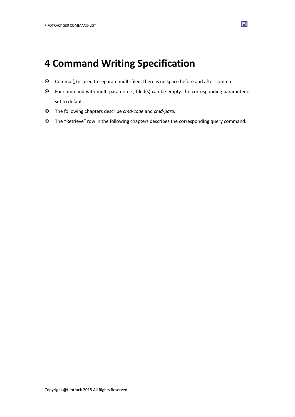## **4 Command Writing Specification**

- Comma (,) is used to separate multi-filed, there is no space before and after comma.
- For command with multi parameters, filed(s) can be empty, the corresponding parameter is set to default.
- The following chapters describe *cmd-code* and *cmd-para.*
- The "Retrieve" row in the following chapters describes the corresponding query command.

F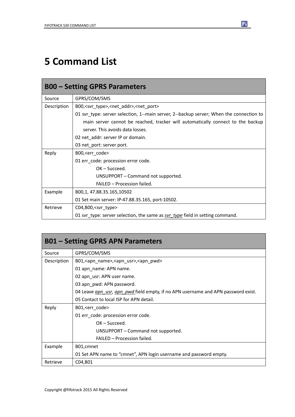## **5 Command List**

| <b>B00 – Setting GPRS Parameters</b> |                                                                                         |  |
|--------------------------------------|-----------------------------------------------------------------------------------------|--|
| Source                               | GPRS/COM/SMS                                                                            |  |
| Description                          | B00, <svr_type>,<net_addr>,<net_port></net_port></net_addr></svr_type>                  |  |
|                                      | 01 svr_type: server selection, 1--main server, 2--backup server; When the connection to |  |
|                                      | main server cannot be reached, tracker will automatically connect to the backup         |  |
|                                      | server. This avoids data losses.                                                        |  |
|                                      | 02 net_addr: server IP or domain.                                                       |  |
|                                      | 03 net_port: server port.                                                               |  |
| Reply                                | B00, <err_code></err_code>                                                              |  |
|                                      | 01 err_code: procession error code.                                                     |  |
|                                      | $OK - Succed.$                                                                          |  |
|                                      | UNSUPPORT - Command not supported.                                                      |  |
|                                      | <b>FAILED - Procession failed.</b>                                                      |  |
| Example                              | B00,1, 47.88.35.165,10502                                                               |  |
|                                      | 01 Set main server: IP-47.88.35.165, port-10502.                                        |  |
| Retrieve                             | C04,B00, <svr_type></svr_type>                                                          |  |
|                                      | 01 svr_type: server selection, the same as svr_type field in setting command.           |  |

| <b>B01 – Setting GPRS APN Parameters</b> |                                                                                   |  |
|------------------------------------------|-----------------------------------------------------------------------------------|--|
| Source                                   | GPRS/COM/SMS                                                                      |  |
| Description                              | B01, <apn_name>, <apn_usr>, <apn_pwd></apn_pwd></apn_usr></apn_name>              |  |
|                                          | 01 apn name: APN name.                                                            |  |
|                                          | 02 apn_usr: APN user name.                                                        |  |
|                                          | 03 apn_pwd: APN password.                                                         |  |
|                                          | 04 Leave gpn usr, apn pwd field empty, if no APN username and APN password exist. |  |
|                                          | 05 Contact to local ISP for APN detail.                                           |  |
| Reply                                    | B01, <err code=""></err>                                                          |  |
|                                          | 01 err code: procession error code.                                               |  |
|                                          | $OK - Succeed.$                                                                   |  |
|                                          | UNSUPPORT – Command not supported.                                                |  |
|                                          | FAILED - Procession failed.                                                       |  |
| Example                                  | B01, cmnet                                                                        |  |
|                                          | 01 Set APN name to "cmnet", APN login username and password empty.                |  |
| Retrieve                                 | C04, B01                                                                          |  |

 $\mathbf{F}$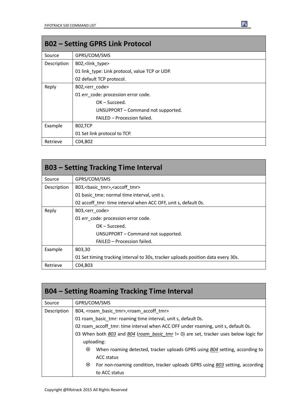| <b>B02 - Setting GPRS Link Protocol</b> |                                                |  |
|-----------------------------------------|------------------------------------------------|--|
| Source                                  | GPRS/COM/SMS                                   |  |
| Description                             | B02, <link type=""/>                           |  |
|                                         | 01 link type: Link protocol, value TCP or UDP. |  |
|                                         | 02 default TCP protocol.                       |  |
| Reply                                   | B02, <err code=""></err>                       |  |
|                                         | 01 err code: procession error code.            |  |
|                                         | $OK - Succeed.$                                |  |
|                                         | UNSUPPORT - Command not supported.             |  |
|                                         | FAILED - Procession failed.                    |  |
| Example                                 | B02,TCP                                        |  |
|                                         | 01 Set link protocol to TCP.                   |  |
| Retrieve                                | C04, B02                                       |  |

| <b>B03 – Setting Tracking Time Interval</b> |                                                                                  |  |
|---------------------------------------------|----------------------------------------------------------------------------------|--|
| Source                                      | GPRS/COM/SMS                                                                     |  |
| Description                                 | B03,<br>basic tmr>, <accoff tmr=""></accoff>                                     |  |
|                                             | 01 basic tme: normal time interval, unit s.                                      |  |
|                                             | 02 accoff tmr: time interval when ACC OFF, unit s, default 0s.                   |  |
| Reply                                       | B03, <err code=""></err>                                                         |  |
|                                             | 01 err code: procession error code.                                              |  |
|                                             | $OK - Succeed.$                                                                  |  |
|                                             | UNSUPPORT – Command not supported.                                               |  |
|                                             | FAILED - Procession failed.                                                      |  |
| Example                                     | B03,30                                                                           |  |
|                                             | 01 Set timing tracking interval to 30s, tracker uploads position data every 30s. |  |
| Retrieve                                    | C04, B03                                                                         |  |

| <b>B04 – Setting Roaming Tracking Time Interval</b> |                                                                                         |  |
|-----------------------------------------------------|-----------------------------------------------------------------------------------------|--|
| Source                                              | GPRS/COM/SMS                                                                            |  |
| Description                                         | B04, <roam basic="" tmr="">, <roam accoff="" tmr=""></roam></roam>                      |  |
|                                                     | 01 roam basic tmr: roaming time interval, unit s, default 0s.                           |  |
|                                                     | 02 roam accoff tmr: time interval when ACC OFF under roaming, unit s, default 0s.       |  |
|                                                     | 03 When both B03 and B04 (roam_basic_tmr != 0) are set, tracker uses below logic for    |  |
|                                                     | uploading:                                                                              |  |
|                                                     | When roaming detected, tracker uploads GPRS using B04 setting, according to<br>$\odot$  |  |
|                                                     | ACC status                                                                              |  |
|                                                     | $\odot$<br>For non-roaming condition, tracker uploads GPRS using B03 setting, according |  |
|                                                     | to ACC status                                                                           |  |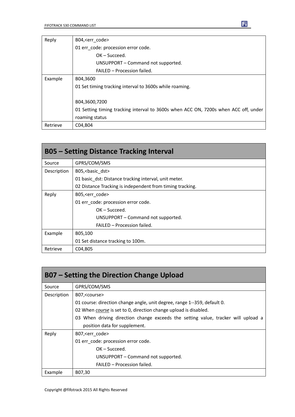| Reply    | B04, <err code=""></err>                                                            |
|----------|-------------------------------------------------------------------------------------|
|          | 01 err code: procession error code.                                                 |
|          | $OK - Succeed.$                                                                     |
|          | UNSUPPORT – Command not supported.                                                  |
|          | FAILED - Procession failed.                                                         |
| Example  | B04,3600                                                                            |
|          | 01 Set timing tracking interval to 3600s while roaming.                             |
|          |                                                                                     |
|          | B04,3600,7200                                                                       |
|          | 01 Setting timing tracking interval to 3600s when ACC ON, 7200s when ACC off, under |
|          | roaming status                                                                      |
| Retrieve | C04, B04                                                                            |

| <b>B05 - Setting Distance Tracking Interval</b> |                                                           |  |
|-------------------------------------------------|-----------------------------------------------------------|--|
| Source                                          | GPRS/COM/SMS                                              |  |
| Description                                     | B05,<br>basic_dst>                                        |  |
|                                                 | 01 basic dst: Distance tracking interval, unit meter.     |  |
|                                                 | 02 Distance Tracking is independent from timing tracking. |  |
| Reply                                           | B05, <err code=""></err>                                  |  |
|                                                 | 01 err code: procession error code.                       |  |
|                                                 | $OK - Succeed.$                                           |  |
|                                                 | UNSUPPORT – Command not supported.                        |  |
|                                                 | FAILED - Procession failed.                               |  |
| Example                                         | B05,100                                                   |  |
|                                                 | 01 Set distance tracking to 100m.                         |  |
| Retrieve                                        | C04, B05                                                  |  |

| B07 – Setting the Direction Change Upload |                                                                                   |  |
|-------------------------------------------|-----------------------------------------------------------------------------------|--|
| Source                                    | GPRS/COM/SMS                                                                      |  |
| Description                               | B07, <course></course>                                                            |  |
|                                           | 01 course: direction change angle, unit degree, range 1--359, default 0.          |  |
|                                           | 02 When course is set to 0, direction change upload is disabled.                  |  |
|                                           | 03 When driving direction change exceeds the setting value, tracker will upload a |  |
|                                           | position data for supplement.                                                     |  |
| Reply                                     | B07, <err code=""></err>                                                          |  |
|                                           | 01 err code: procession error code.                                               |  |
|                                           | $OK - Succeed.$                                                                   |  |
|                                           | UNSUPPORT - Command not supported.                                                |  |
|                                           | FAILED - Procession failed.                                                       |  |
| Example                                   | B07,30                                                                            |  |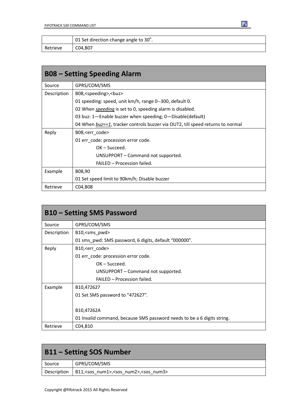|          | 01 Set direction change angle to $30^{\circ}$ . |
|----------|-------------------------------------------------|
| Retrieve | C04,B07                                         |

| <b>B08 – Setting Speeding Alarm</b> |                                                                                |
|-------------------------------------|--------------------------------------------------------------------------------|
| Source                              | GPRS/COM/SMS                                                                   |
| Description                         | B08, <speeding>,<br/>buz&gt;</speeding>                                        |
|                                     | 01 speeding: speed, unit km/h, range 0--300, default 0.                        |
|                                     | 02 When <i>speeding</i> is set to 0, speeding alarm is disabled.               |
|                                     | 03 buz: 1-Enable buzzer when speeding; 0-Disable(default)                      |
|                                     | 04 When buz==1, tracker controls buzzer via OUT2, till speed returns to normal |
| Reply                               | B08, <err_code></err_code>                                                     |
|                                     | 01 err_code: procession error code.                                            |
|                                     | $OK - Succeed.$                                                                |
|                                     | UNSUPPORT – Command not supported.                                             |
|                                     | FAILED - Procession failed.                                                    |
| Example                             | B08,90                                                                         |
|                                     | 01 Set speed limit to 90km/h; Disable buzzer                                   |
| Retrieve                            | C04, B08                                                                       |

| <b>B10 – Setting SMS Password</b> |                                                                         |
|-----------------------------------|-------------------------------------------------------------------------|
| Source                            | GPRS/COM/SMS                                                            |
| Description                       | B10, <sms_pwd></sms_pwd>                                                |
|                                   | 01 sms pwd: SMS password, 6 digits, default "000000".                   |
| Reply                             | B10, <err code=""></err>                                                |
|                                   | 01 err_code: procession error code.                                     |
|                                   | $OK - Succeed.$                                                         |
|                                   | UNSUPPORT – Command not supported.                                      |
|                                   | FAILED - Procession failed.                                             |
| Example                           | B10,472627                                                              |
|                                   | 01 Set SMS password to "472627".                                        |
|                                   |                                                                         |
|                                   | B10,47262A                                                              |
|                                   | 01 Invalid command, because SMS password needs to be a 6 digits string. |
| Retrieve                          | C04, B10                                                                |

| <b>B11 - Setting SOS Number</b> |                                                                        |
|---------------------------------|------------------------------------------------------------------------|
| Source                          | GPRS/COM/SMS                                                           |
| Description                     | B11, <sos_num1>,<sos_num2>,<sos_num3></sos_num3></sos_num2></sos_num1> |

П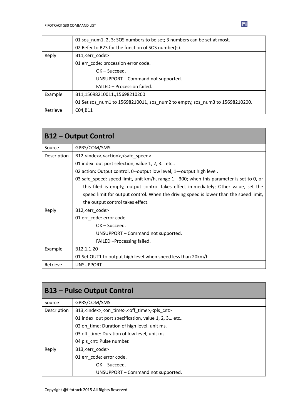|          | 01 sos num1, 2, 3: SOS numbers to be set; 3 numbers can be set at most.     |
|----------|-----------------------------------------------------------------------------|
|          | 02 Refer to B23 for the function of SOS number(s).                          |
| Reply    | B11, <err code=""></err>                                                    |
|          | 01 err_code: procession error code.                                         |
|          | $OK - Succeed.$                                                             |
|          | UNSUPPORT - Command not supported.                                          |
|          | FAILED - Procession failed.                                                 |
| Example  | B11,15698210011,,15698210200                                                |
|          | 01 Set sos num1 to 15698210011, sos num2 to empty, sos num3 to 15698210200. |
| Retrieve | C04, B11                                                                    |

| <b>B12 - Output Control</b> |                                                                                         |
|-----------------------------|-----------------------------------------------------------------------------------------|
| Source                      | GPRS/COM/SMS                                                                            |
| Description                 | B12, <index>,<action>,<safe_speed></safe_speed></action></index>                        |
|                             | 01 index: out port selection, value 1, 2, 3 etc                                         |
|                             | 02 action: Output control, 0--output low level, 1-output high level.                    |
|                             | 03 safe_speed: speed limit, unit km/h, range 1-300; when this parameter is set to 0, or |
|                             | this filed is empty, output control takes effect immediately; Other value, set the      |
|                             | speed limit for output control. When the driving speed is lower than the speed limit,   |
|                             | the output control takes effect.                                                        |
| Reply                       | B12, <err_code></err_code>                                                              |
|                             | 01 err code: error code.                                                                |
|                             | $OK - Succeed.$                                                                         |
|                             | UNSUPPORT - Command not supported.                                                      |
|                             | FAILED - Processing failed.                                                             |
| Example                     | B <sub>12</sub> , <sub>1</sub> , <sub>1</sub> , <sub>20</sub>                           |
|                             | 01 Set OUT1 to output high level when speed less than 20km/h.                           |
| Retrieve                    | <b>UNSUPPORT</b>                                                                        |

| <b>B13 – Pulse Output Control</b> |                                                                               |
|-----------------------------------|-------------------------------------------------------------------------------|
| Source                            | GPRS/COM/SMS                                                                  |
| Description                       | B13, <index>,<on time="">,<off time="">,<pls cnt=""></pls></off></on></index> |
|                                   | 01 index: out port specification, value 1, 2, 3 etc                           |
|                                   | 02 on time: Duration of high level, unit ms.                                  |
|                                   | 03 off time: Duration of low level, unit ms.                                  |
|                                   | 04 pls cnt: Pulse number.                                                     |
| Reply                             | B13, <err code=""></err>                                                      |
|                                   | 01 err_code: error code.                                                      |
|                                   | $OK - Succeed.$                                                               |
|                                   | UNSUPPORT - Command not supported.                                            |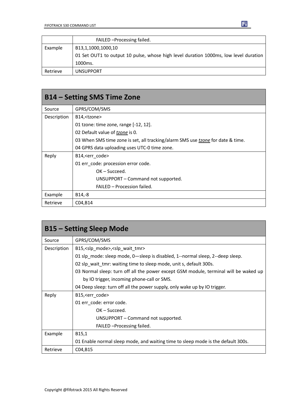|          | FAILED - Processing failed.                                                          |
|----------|--------------------------------------------------------------------------------------|
| Example  | B13,1,1000,1000,10                                                                   |
|          | 01 Set OUT1 to output 10 pulse, whose high level duration 1000ms, low level duration |
|          | 1000 <sub>ms</sub> .                                                                 |
| Retrieve | <b>UNSUPPORT</b>                                                                     |

| B14 – Setting SMS Time Zone |                                                                                 |
|-----------------------------|---------------------------------------------------------------------------------|
| Source                      | GPRS/COM/SMS                                                                    |
| Description                 | B14, <tzone></tzone>                                                            |
|                             | 01 tzone: time zone, range [-12, 12].                                           |
|                             | 02 Default value of tzone is 0.                                                 |
|                             | 03 When SMS time zone is set, all tracking/alarm SMS use tzone for date & time. |
|                             | 04 GPRS data uploading uses UTC-0 time zone.                                    |
| Reply                       | B14, <err code=""></err>                                                        |
|                             | 01 err code: procession error code.                                             |
|                             | $OK - Succeed.$                                                                 |
|                             | UNSUPPORT - Command not supported.                                              |
|                             | FAILED - Procession failed.                                                     |
| Example                     | $B14,-8$                                                                        |
| Retrieve                    | C04, B14                                                                        |

| <b>B15 - Setting Sleep Mode</b> |                                                                                      |
|---------------------------------|--------------------------------------------------------------------------------------|
| Source                          | GPRS/COM/SMS                                                                         |
| Description                     | B15, < slp mode >, < slp wait tmr >                                                  |
|                                 | 01 slp mode: sleep mode, 0—sleep is disabled, 1--normal sleep, 2--deep sleep.        |
|                                 | 02 slp_wait_tmr: waiting time to sleep mode, unit s, default 300s.                   |
|                                 | 03 Normal sleep: turn off all the power except GSM module, terminal will be waked up |
|                                 | by IO trigger, incoming phone-call or SMS.                                           |
|                                 | 04 Deep sleep: turn off all the power supply, only wake up by IO trigger.            |
| Reply                           | B15, <err code=""></err>                                                             |
|                                 | 01 err code: error code.                                                             |
|                                 | $OK - Succeed.$                                                                      |
|                                 | UNSUPPORT – Command not supported.                                                   |
|                                 | FAILED - Processing failed.                                                          |
| Example                         | B <sub>15.1</sub>                                                                    |
|                                 | 01 Enable normal sleep mode, and waiting time to sleep mode is the default 300s.     |
| Retrieve                        | C04, B15                                                                             |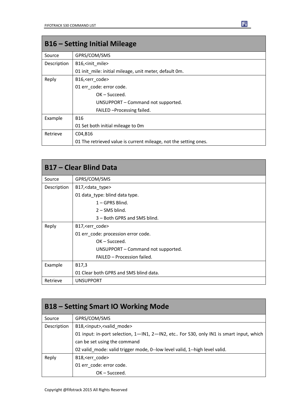| <b>B16 – Setting Initial Mileage</b> |                                                                  |
|--------------------------------------|------------------------------------------------------------------|
| Source                               | GPRS/COM/SMS                                                     |
| Description                          | B16, <init mile=""></init>                                       |
|                                      | 01 init mile: initial mileage, unit meter, default 0m.           |
| Reply                                | B16, <err code=""></err>                                         |
|                                      | 01 err code: error code.                                         |
|                                      | $OK - Succeed.$                                                  |
|                                      | UNSUPPORT – Command not supported.                               |
|                                      | FAILED - Processing failed.                                      |
| Example                              | <b>B16</b>                                                       |
|                                      | 01 Set both initial mileage to 0m                                |
| Retrieve                             | C04,B16                                                          |
|                                      | 01 The retrieved value is current mileage, not the setting ones. |

| <b>B17 – Clear Blind Data</b> |                                        |
|-------------------------------|----------------------------------------|
| Source                        | GPRS/COM/SMS                           |
| Description                   | B17, < data_type>                      |
|                               | 01 data_type: blind data type.         |
|                               | 1-GPRS Blind.                          |
|                               | $2 -$ SMS blind.                       |
|                               | 3 – Both GPRS and SMS blind.           |
| Reply                         | B17, < err_code>                       |
|                               | 01 err_code: procession error code.    |
|                               | $OK - Succeed.$                        |
|                               | UNSUPPORT – Command not supported.     |
|                               | FAILED - Procession failed.            |
| Example                       | B17,3                                  |
|                               | 01 Clear both GPRS and SMS blind data. |
| Retrieve                      | <b>UNSUPPORT</b>                       |

| <b>B18 – Setting Smart IO Working Mode</b> |                                                                                        |
|--------------------------------------------|----------------------------------------------------------------------------------------|
| Source                                     | GPRS/COM/SMS                                                                           |
| Description                                | B18, <input/> , <valid mode=""></valid>                                                |
|                                            | 01 input: in-port selection, 1-IN1, 2-IN2, etc For S30, only IN1 is smart input, which |
|                                            | can be set using the command                                                           |
|                                            | 02 valid_mode: valid trigger mode, 0--low level valid, 1--high level valid.            |
| Reply                                      | B18, <err code=""></err>                                                               |
|                                            | 01 err code: error code.                                                               |
|                                            | $OK - Succeed.$                                                                        |

 $\mathbf{F}$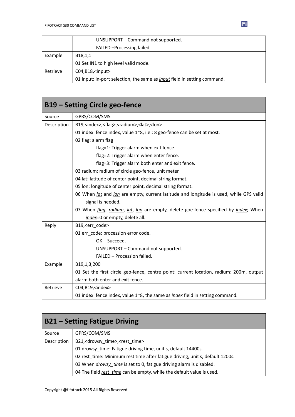|          | UNSUPPORT - Command not supported.                                              |
|----------|---------------------------------------------------------------------------------|
|          | FAILED - Processing failed.                                                     |
| Example  | B18,1,1                                                                         |
|          | 01 Set IN1 to high level valid mode.                                            |
| Retrieve | $CO4, B18,$ <input/>                                                            |
|          | 01 input: in-port selection, the same as <i>input</i> field in setting command. |

| B19 – Setting Circle geo-fence |                                                                                                    |
|--------------------------------|----------------------------------------------------------------------------------------------------|
| Source                         | GPRS/COM/SMS                                                                                       |
| Description                    | B19, <index>,<flag>,<radium>,<lat>,<lon></lon></lat></radium></flag></index>                       |
|                                | 01 index: fence index, value 1~8, i.e.: 8 geo-fence can be set at most.                            |
|                                | 02 flag: alarm flag                                                                                |
|                                | flag=1: Trigger alarm when exit fence.                                                             |
|                                | flag=2: Trigger alarm when enter fence.                                                            |
|                                | flag=3: Trigger alarm both enter and exit fence.                                                   |
|                                | 03 radium: radium of circle geo-fence, unit meter.                                                 |
|                                | 04 lat: latitude of center point, decimal string format.                                           |
|                                | 05 Ion: longitude of center point, decimal string format.                                          |
|                                | 06 When lat and lon are empty, current latitude and longitude is used, while GPS valid             |
|                                | signal is needed.                                                                                  |
|                                | 07 When <i>flag, radium, lat, lon</i> are empty, delete goe-fence specified by <i>index</i> ; When |
|                                | index=0 or empty, delete all.                                                                      |
| Reply                          | B19, <err_code></err_code>                                                                         |
|                                | 01 err code: procession error code.                                                                |
|                                | OK-Succeed.                                                                                        |
|                                | UNSUPPORT - Command not supported.                                                                 |
|                                | FAILED - Procession failed.                                                                        |
| Example                        | B19,1,3,200                                                                                        |
|                                | 01 Set the first circle geo-fence, centre point: current location, radium: 200m, output            |
|                                | alarm both enter and exit fence.                                                                   |
| Retrieve                       | C04, B19, <index></index>                                                                          |
|                                | 01 index: fence index, value $1^{\sim}8$ , the same as <i>index</i> field in setting command.      |

| <b>B21 – Setting Fatigue Driving</b> |                                                                               |
|--------------------------------------|-------------------------------------------------------------------------------|
| Source                               | GPRS/COM/SMS                                                                  |
| Description                          | B21, <drowsy time="">,<rest time=""></rest></drowsy>                          |
|                                      | 01 drowsy time: Fatigue driving time, unit s, default 14400s.                 |
|                                      | 02 rest time: Minimum rest time after fatigue driving, unit s, default 1200s. |
|                                      | 03 When <i>drowsy time</i> is set to 0, fatigue driving alarm is disabled.    |
|                                      | 04 The field rest time can be empty, while the default value is used.         |

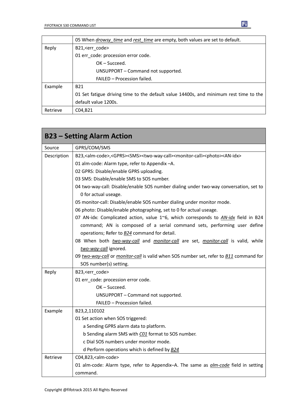|          | 05 When drowsy time and rest time are empty, both values are set to default.          |
|----------|---------------------------------------------------------------------------------------|
| Reply    | B21, <err code=""></err>                                                              |
|          | 01 err_code: procession error code.                                                   |
|          | $OK - Succeed.$                                                                       |
|          | UNSUPPORT – Command not supported.                                                    |
|          | FAILED - Procession failed.                                                           |
| Example  | <b>B21</b>                                                                            |
|          | 01 Set fatigue driving time to the default value 14400s, and minimum rest time to the |
|          | default value 1200s.                                                                  |
| Retrieve | C04.B21                                                                               |

| Source      | GPRS/COM/SMS                                                                                                                                  |
|-------------|-----------------------------------------------------------------------------------------------------------------------------------------------|
| Description | B23, <alm-code>,<gprs><sms><two-way-call><monitor-call><photo><an-idx></an-idx></photo></monitor-call></two-way-call></sms></gprs></alm-code> |
|             | 01 alm-code: Alarm type, refer to Appendix -A.                                                                                                |
|             | 02 GPRS: Disable/enable GPRS uploading.                                                                                                       |
|             | 03 SMS: Disable/enable SMS to SOS number.                                                                                                     |
|             | 04 two-way-call: Disable/enable SOS number dialing under two-way conversation, set to                                                         |
|             | 0 for actual useage.                                                                                                                          |
|             | 05 monitor-call: Disable/enable SOS number dialing under monitor mode.                                                                        |
|             | 06 photo: Disable/enable photographing, set to 0 for actual useage.                                                                           |
|             | 07 AN-idx: Complicated action, value 1~6, which corresponds to AN-idx field in B24                                                            |
|             | command; AN is composed of a serial command sets, performing user define                                                                      |
|             | operations; Refer to <b>B24</b> command for detail.                                                                                           |
|             | 08 When both <i>two-way-call</i> and <i>monitor-call</i> are set, <i>monitor-call</i> is valid, while                                         |
|             | two-way-call ignored.                                                                                                                         |
|             | 09 two-way-call or monitor-call is valid when SOS number set, refer to B11 command for                                                        |
|             | SOS number(s) setting.                                                                                                                        |
| Reply       | B23, <err_code></err_code>                                                                                                                    |
|             | 01 err_code: procession error code.                                                                                                           |
|             | $OK - Succeed.$                                                                                                                               |
|             | UNSUPPORT - Command not supported.                                                                                                            |
|             | FAILED - Procession failed.                                                                                                                   |
| Example     | B23,2,110102                                                                                                                                  |
|             | 01 Set action when SOS triggered:                                                                                                             |
|             | a Sending GPRS alarm data to platform.                                                                                                        |
|             | b Sending alarm SMS with CO1 format to SOS number.                                                                                            |
|             | c Dial SOS numbers under monitor mode.                                                                                                        |
|             | d Perform operations which is defined by B24                                                                                                  |
| Retrieve    | C04,B23, <alm-code></alm-code>                                                                                                                |
|             | 01 alm-code: Alarm type, refer to Appendix-A. The same as <i>alm-code</i> field in setting                                                    |
|             | command.                                                                                                                                      |

 $\mathbf{F}$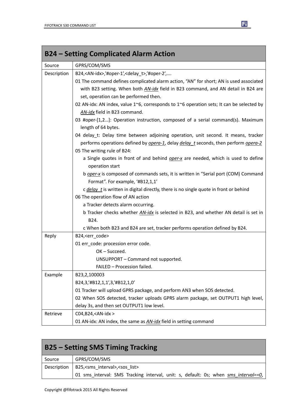| <b>B24 - Setting Complicated Alarm Action</b> |                                                                                                           |
|-----------------------------------------------|-----------------------------------------------------------------------------------------------------------|
| Source                                        | GPRS/COM/SMS                                                                                              |
| Description                                   | B24, <an-idx>/#oper-1',<delay_t>/#oper-2',</delay_t></an-idx>                                             |
|                                               | 01 The command defines complicated alarm action, "AN" for short; AN is used associated                    |
|                                               | with B23 setting. When both AN-idx field in B23 command, and AN detail in B24 are                         |
|                                               | set, operation can be performed then.                                                                     |
|                                               | 02 AN-idx: AN index, value 1~6, corresponds to 1~6 operation sets; It can be selected by                  |
|                                               | AN-idx field in B23 command.                                                                              |
|                                               | 03 #oper-[1,2]: Operation instruction, composed of a serial command(s). Maximum                           |
|                                               | length of 64 bytes.                                                                                       |
|                                               | 04 delay_t: Delay time between adjoining operation, unit second. It means, tracker                        |
|                                               | performs operations defined by <i>opera-1</i> , delay <i>delay</i> t seconds, then perform <i>opera-2</i> |
|                                               | 05 The writing rule of B24:                                                                               |
|                                               | a Single quotes in front of and behind oper-x are needed, which is used to define<br>operation start      |
|                                               | b oper-x is composed of commands sets, it is written in "Serial port (COM) Command                        |
|                                               | Format". For example, '#B12,1,1'                                                                          |
|                                               | c delay t is written in digital directly, there is no single quote in front or behind                     |
|                                               | 06 The operation flow of AN action                                                                        |
|                                               | a Tracker detects alarm occurring.                                                                        |
|                                               | b Tracker checks whether AN-idx is selected in B23, and whether AN detail is set in                       |
|                                               | B24.                                                                                                      |
|                                               | c When both B23 and B24 are set, tracker performs operation defined by B24.                               |
| Reply                                         | B24, <err_code></err_code>                                                                                |
|                                               | 01 err_code: procession error code.                                                                       |
|                                               | OK-Succeed.                                                                                               |
|                                               | UNSUPPORT - Command not supported.                                                                        |
|                                               | FAILED - Procession failed.                                                                               |
| Example                                       | B23,2,100003                                                                                              |
|                                               | B24,3,'#B12,1,1',3,'#B12,1,0'                                                                             |
|                                               | 01 Tracker will upload GPRS package, and perform AN3 when SOS detected.                                   |
|                                               | 02 When SOS detected, tracker uploads GPRS alarm package, set OUTPUT1 high level,                         |
|                                               | delay 3s, and then set OUTPUT1 low level.                                                                 |
| Retrieve                                      | C04, B24, <an-idx></an-idx>                                                                               |
|                                               | 01 AN-idx: AN index, the same as <b>AN-idx</b> field in setting command                                   |

| <b>B25 – Setting SMS Timing Tracking</b> |                                                                                     |
|------------------------------------------|-------------------------------------------------------------------------------------|
| Source                                   | GPRS/COM/SMS                                                                        |
| Description                              | B25, <sms_interval>,<sos_list></sos_list></sms_interval>                            |
|                                          | 01 sms interval: SMS Tracking interval, unit: s, default: 0s; when sms interval==0, |

団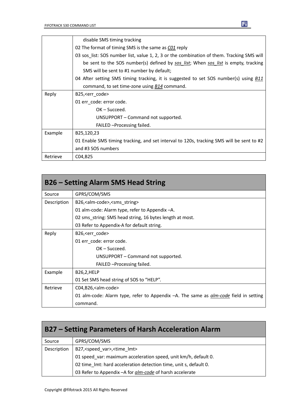|          | disable SMS timing tracking                                                               |
|----------|-------------------------------------------------------------------------------------------|
|          | 02 The format of timing SMS is the same as CO1 reply                                      |
|          | 03 sos_list: SOS number list, value 1, 2, 3 or the combination of them. Tracking SMS will |
|          | be sent to the SOS number(s) defined by sos list; When sos list is empty, tracking        |
|          | SMS will be sent to #1 number by default;                                                 |
|          | 04 After setting SMS timing tracking, it is suggested to set SOS number(s) using B11      |
|          | command, to set time-zone using B14 command.                                              |
| Reply    | B25, <err code=""></err>                                                                  |
|          | 01 err_code: error code.                                                                  |
|          | OK – Succeed.                                                                             |
|          | UNSUPPORT – Command not supported.                                                        |
|          | FAILED - Processing failed.                                                               |
| Example  | B25,120,23                                                                                |
|          | 01 Enable SMS timing tracking, and set interval to 120s, tracking SMS will be sent to #2  |
|          | and #3 SOS numbers                                                                        |
| Retrieve | C04, B <sub>25</sub>                                                                      |

| <b>B26 - Setting Alarm SMS Head String</b> |                                                                                             |
|--------------------------------------------|---------------------------------------------------------------------------------------------|
| Source                                     | GPRS/COM/SMS                                                                                |
| Description                                | B26, <alm-code>,<sms_string></sms_string></alm-code>                                        |
|                                            | 01 alm-code: Alarm type, refer to Appendix -A.                                              |
|                                            | 02 sms string: SMS head string, 16 bytes length at most.                                    |
|                                            | 03 Refer to Appendix-A for default string.                                                  |
| Reply                                      | B26, <err code=""></err>                                                                    |
|                                            | 01 err code: error code.                                                                    |
|                                            | $OK - Succeed.$                                                                             |
|                                            | UNSUPPORT – Command not supported.                                                          |
|                                            | FAILED - Processing failed.                                                                 |
| Example                                    | <b>B26,2,HELP</b>                                                                           |
|                                            | 01 Set SMS head string of SOS to "HELP".                                                    |
| Retrieve                                   | C04,B26, <alm-code></alm-code>                                                              |
|                                            | 01 alm-code: Alarm type, refer to Appendix -A. The same as <i>alm-code</i> field in setting |
|                                            | command.                                                                                    |

| B27 – Setting Parameters of Harsh Acceleration Alarm |                                                                   |
|------------------------------------------------------|-------------------------------------------------------------------|
| Source                                               | GPRS/COM/SMS                                                      |
| Description                                          | B27, <speed var="">, <time lmt=""></time></speed>                 |
|                                                      | 01 speed_var: maximum acceleration speed, unit km/h, default 0.   |
|                                                      | 02 time_lmt: hard acceleration detection time, unit s, default 0. |
|                                                      | 03 Refer to Appendix - A for <i>alm-code</i> of harsh accelerate  |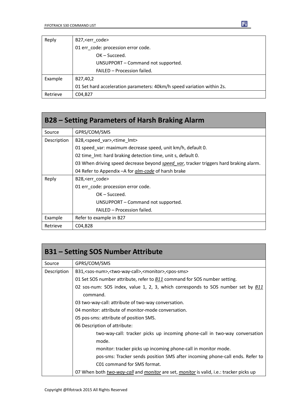| Reply    | B27, <err code=""></err>                                               |
|----------|------------------------------------------------------------------------|
|          | 01 err code: procession error code.                                    |
|          | $OK - Succeed.$                                                        |
|          | UNSUPPORT - Command not supported.                                     |
|          | FAILED - Procession failed.                                            |
| Example  | B27,40,2                                                               |
|          | 01 Set hard acceleration parameters: 40km/h speed variation within 2s. |
| Retrieve | C04, B27                                                               |

| B28 – Setting Parameters of Harsh Braking Alarm |                                                                                       |
|-------------------------------------------------|---------------------------------------------------------------------------------------|
| Source                                          | GPRS/COM/SMS                                                                          |
| Description                                     | B28, <speed_var>, <time_lmt></time_lmt></speed_var>                                   |
|                                                 | 01 speed var: maximum decrease speed, unit km/h, default 0.                           |
|                                                 | 02 time Imt: hard braking detection time, unit s, default 0.                          |
|                                                 | 03 When driving speed decrease beyond speed var, tracker triggers hard braking alarm. |
|                                                 | 04 Refer to Appendix – A for <i>alm-code</i> of harsh brake                           |
| Reply                                           | B28, < err code >                                                                     |
|                                                 | 01 err code: procession error code.                                                   |
|                                                 | $OK - Succeed.$                                                                       |
|                                                 | UNSUPPORT – Command not supported.                                                    |
|                                                 | FAILED - Procession failed.                                                           |
| Example                                         | Refer to example in B27                                                               |
| Retrieve                                        | C04, B <sub>28</sub>                                                                  |

|             | <b>B31 – Setting SOS Number Attribute</b>                                                           |
|-------------|-----------------------------------------------------------------------------------------------------|
| Source      | GPRS/COM/SMS                                                                                        |
| Description | B31, <sos-num>,<two-way-call>,<monitor>,<pos-sms></pos-sms></monitor></two-way-call></sos-num>      |
|             | 01 Set SOS number attribute, refer to <b>B11</b> command for SOS number setting.                    |
|             | 02 sos-num: SOS index, value 1, 2, 3, which corresponds to SOS number set by <b>B11</b><br>command. |
|             | 03 two-way-call: attribute of two-way conversation.                                                 |
|             | 04 monitor: attribute of monitor-mode conversation.                                                 |
|             | 05 pos-sms: attribute of position SMS.                                                              |
|             | 06 Description of attribute:                                                                        |
|             | two-way-call: tracker picks up incoming phone-call in two-way conversation<br>mode.                 |
|             | monitor: tracker picks up incoming phone-call in monitor mode.                                      |
|             | pos-sms: Tracker sends position SMS after incoming phone-call ends. Refer to                        |
|             | C01 command for SMS format.                                                                         |
|             | 07 When both two-way-call and monitor are set, monitor is valid, i.e.: tracker picks up             |

E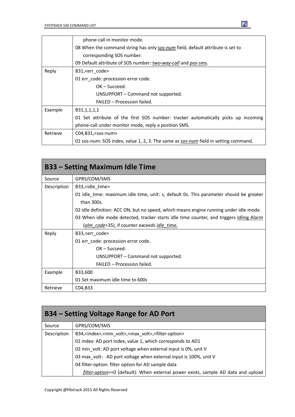|                                   | phone-call in monitor mode.                                                         |  |  |
|-----------------------------------|-------------------------------------------------------------------------------------|--|--|
|                                   | 08 When the command string has only sos-num field, default attribute is set to      |  |  |
|                                   | corresponding SOS number.                                                           |  |  |
|                                   | 09 Default attribute of SOS number: two-way-call and pos-sms.                       |  |  |
| Reply<br>B31, <err code=""></err> |                                                                                     |  |  |
|                                   | 01 err code: procession error code.                                                 |  |  |
|                                   | $OK - Succeed.$                                                                     |  |  |
|                                   | UNSUPPORT - Command not supported.                                                  |  |  |
|                                   | FAILED - Procession failed.                                                         |  |  |
| Example                           | B31,1,1,1,1                                                                         |  |  |
|                                   | 01 Set attribute of the first SOS number: tracker automatically picks up incoming   |  |  |
|                                   | phone-call under monitor mode, reply a position SMS.                                |  |  |
| Retrieve                          | $CO4, B31, <$ sos-num $>$                                                           |  |  |
|                                   | 01 sos-num: SOS index, value 1, 2, 3. The same as sos-num field in setting command. |  |  |

| <b>B33 - Setting Maximum Idle Time</b> |                                                                                         |  |
|----------------------------------------|-----------------------------------------------------------------------------------------|--|
| Source                                 | GPRS/COM/SMS                                                                            |  |
| Description                            | B33, <idle time=""></idle>                                                              |  |
|                                        | 01 idle time: maximum idle time, unit: s, default 0s. This parameter should be greater  |  |
|                                        | than 300s.                                                                              |  |
|                                        | 02 idle definition: ACC ON, but no speed, which means engine running under idle mode.   |  |
|                                        | 03 When idle mode detected, tracker starts idle time counter, and triggers Idling Alarm |  |
|                                        | (alm code=35), if counter exceeds idle time.                                            |  |
| Reply                                  | B33, <err_code></err_code>                                                              |  |
|                                        | 01 err_code: procession error code.                                                     |  |
|                                        | $OK - Succeed.$                                                                         |  |
|                                        | UNSUPPORT - Command not supported.                                                      |  |
|                                        | FAILED - Procession failed.                                                             |  |
| Example                                | B33,600                                                                                 |  |
|                                        | 01 Set maximum idle time to 600s                                                        |  |
| Retrieve                               | C04,B33                                                                                 |  |

| <b>B34 - Setting Voltage Range for AD Port</b> |                                                                                                  |  |
|------------------------------------------------|--------------------------------------------------------------------------------------------------|--|
| Source                                         | GPRS/COM/SMS                                                                                     |  |
| Description                                    | B34, <index>,<min_volt>,<max_volt>,<filter-option></filter-option></max_volt></min_volt></index> |  |
|                                                | 01 index: AD port index, value 1, which corresponds to AD1                                       |  |
|                                                | 02 min_volt: AD port voltage when external input is 0%, unit V                                   |  |
|                                                | 03 max_volt: AD port voltage when external input is 100%, unit V                                 |  |
|                                                | 04 filter-option: filter option for AD sample data                                               |  |
|                                                | filter-option==0 (default): When external power exists, sample AD data and upload                |  |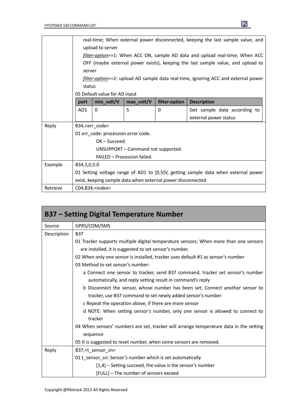|          |                                                                                    | real-time; When external power disconnected, keeping the last sample value, and |                             |               |                                                                                    |
|----------|------------------------------------------------------------------------------------|---------------------------------------------------------------------------------|-----------------------------|---------------|------------------------------------------------------------------------------------|
|          | upload to server                                                                   |                                                                                 |                             |               |                                                                                    |
|          | filter-option==1: When ACC ON, sample AD data and upload real-time; When ACC       |                                                                                 |                             |               |                                                                                    |
|          | OFF (maybe external power exists), keeping the last sample value, and upload to    |                                                                                 |                             |               |                                                                                    |
|          | server                                                                             |                                                                                 |                             |               |                                                                                    |
|          | filter-option==2: upload AD sample data real-time, ignoring ACC and external power |                                                                                 |                             |               |                                                                                    |
|          | status                                                                             |                                                                                 |                             |               |                                                                                    |
|          |                                                                                    | 05 Default value for AD input                                                   |                             |               |                                                                                    |
|          | port                                                                               | min_volt/V                                                                      | max_volt/V                  | filter-option | <b>Description</b>                                                                 |
|          | AD1                                                                                | 0                                                                               | 5                           | 0             | Get sample data according to                                                       |
|          |                                                                                    |                                                                                 |                             |               | external power status                                                              |
| Reply    | B34, <err code=""></err>                                                           |                                                                                 |                             |               |                                                                                    |
|          | 01 err_code: procession error code.                                                |                                                                                 |                             |               |                                                                                    |
|          |                                                                                    | $OK - Succeed.$                                                                 |                             |               |                                                                                    |
|          | UNSUPPORT - Command not supported.                                                 |                                                                                 |                             |               |                                                                                    |
|          |                                                                                    |                                                                                 | FAILED - Procession failed. |               |                                                                                    |
| Example  | B34,1,0,5.0                                                                        |                                                                                 |                             |               |                                                                                    |
|          |                                                                                    |                                                                                 |                             |               | 01 Setting voltage range of AD1 to [0,5]V, getting sample data when external power |
|          | exist, keeping sample data when external power disconnected                        |                                                                                 |                             |               |                                                                                    |
| Retrieve | $CO4, B34,$ sindex $>$                                                             |                                                                                 |                             |               |                                                                                    |

|             | <b>B37 – Setting Digital Temperature Number</b>                                        |
|-------------|----------------------------------------------------------------------------------------|
| Source      | GPRS/COM/SMS                                                                           |
| Description | <b>B37</b>                                                                             |
|             | 01 Tracker supports multiple digital temperature sensors; When more than one sensors   |
|             | are installed, it is suggested to set sensor's number.                                 |
|             | 02 When only one sensor is installed, tracker uses default #1 as sensor's number       |
|             | 03 Method to set sensor's number:                                                      |
|             | a Connect one sensor to tracker, send B37 command, tracker set sensor's number         |
|             | automatically, and reply setting result in command's reply                             |
|             | b Disconnect the sensor, whose number has been set; Connect another sensor to          |
|             | tracker, use B37 command to set newly added sensor's number                            |
|             | c Repeat the operation above, if there are more sensor                                 |
|             | d NOTE: When setting sensor's number, only one sensor is allowed to connect to         |
|             | tracker                                                                                |
|             | 04 When sensors' numbers are set, tracker will arrange temperature data in the setting |
|             | sequence                                                                               |
|             | 05 It is suggested to reset number, when some sensors are removed.                     |
| Reply       | B37, <t sensor="" sn=""></t>                                                           |
|             | 01 t_sensor_sn: Sensor's number which is set automatically                             |
|             | $[1,4]$ – Setting succeed, the value is the sensor's number                            |
|             | [FULL] - The number of sensors exceed                                                  |

 $\mathbf{E}$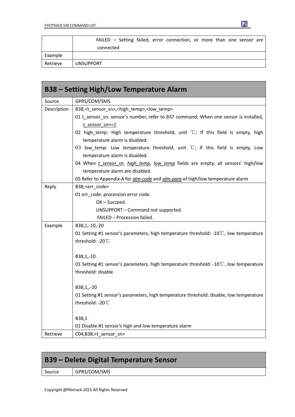|          | FAILED – Setting failed, error connection, or more than one sensor are |
|----------|------------------------------------------------------------------------|
|          | connected                                                              |
| Example  |                                                                        |
| Retrieve | <b>UNSUPPORT</b>                                                       |

団

|             | B38 – Setting High/Low Temperature Alarm                                                        |
|-------------|-------------------------------------------------------------------------------------------------|
| Source      | GPRS/COM/SMS                                                                                    |
| Description | B38, <t_sensor_sn>,<high_temp>,<low_temp></low_temp></high_temp></t_sensor_sn>                  |
|             | 01 t_sensor_sn: sensor's number, refer to B37 command; When one sensor is installed,            |
|             | $t$ sensor sn==1                                                                                |
|             | 02 high_temp: High temperature threshold, unit $°C$ ; If this field is empty, high              |
|             | temperature alarm is disabled.                                                                  |
|             | 03 low_temp: Low temperature threshold, unit $\degree$ C; If this field is empty, Low           |
|             | temperature alarm is disabled.                                                                  |
|             | 04 When <i>t sensor sn, high temp, low temp</i> fields are empty, all sensors' high/low         |
|             | temperature alarm are disabled.                                                                 |
|             | 05 Refer to Appendix-A for alm-code and alm-para of high/low temperature alarm                  |
| Reply       | B38, <err_code></err_code>                                                                      |
|             | 01 err_code: procession error code.                                                             |
|             | OK-Succeed.                                                                                     |
|             | UNSUPPORT - Command not supported.                                                              |
|             | FAILED - Procession failed.                                                                     |
| Example     | B38,1,-10,-20                                                                                   |
|             | 01 Setting #1 sensor's parameters, high temperature threshold: -10°C, low temperature           |
|             | threshold: -20°C                                                                                |
|             | B38,1,-10                                                                                       |
|             | 01 Setting #1 sensor's parameters, high temperature threshold: -10 $\degree$ C, low temperature |
|             | threshold: disable                                                                              |
|             | B38,1,,-20                                                                                      |
|             | 01 Setting #1 sensor's parameters, high temperature threshold: disable, low temperature         |
|             | threshold: -20°C                                                                                |
|             | B38,1                                                                                           |
|             | 01 Disable #1 sensor's high and low temperature alarm                                           |
| Retrieve    | C04,B38, <t_sensor_sn></t_sensor_sn>                                                            |

| B39 – Delete Digital Temperature Sensor |              |  |
|-----------------------------------------|--------------|--|
| Source                                  | GPRS/COM/SMS |  |
|                                         |              |  |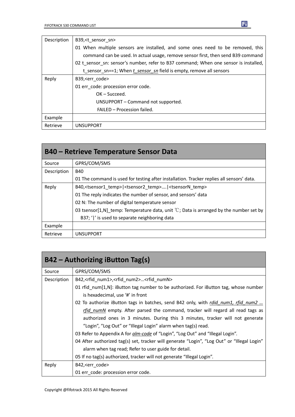| Description | B39, <t sensor="" sn=""></t>                                                         |  |  |
|-------------|--------------------------------------------------------------------------------------|--|--|
|             | 01 When multiple sensors are installed, and some ones need to be removed, this       |  |  |
|             | command can be used. In actual usage, remove sensor first, then send B39 command     |  |  |
|             | 02 t sensor sn: sensor's number, refer to B37 command; When one sensor is installed, |  |  |
|             | t sensor sn==1; When t sensor sn field is empty, remove all sensors                  |  |  |
| Reply       | B39, <err code=""></err>                                                             |  |  |
|             | 01 err code: procession error code.                                                  |  |  |
|             | $OK - Succeed.$                                                                      |  |  |
|             | UNSUPPORT – Command not supported.                                                   |  |  |
|             | FAILED - Procession failed.                                                          |  |  |
| Example     |                                                                                      |  |  |
| Retrieve    | <b>UNSUPPORT</b>                                                                     |  |  |

| <b>B40 – Retrieve Temperature Sensor Data</b> |                                                                                                    |  |
|-----------------------------------------------|----------------------------------------------------------------------------------------------------|--|
| Source                                        | GPRS/COM/SMS                                                                                       |  |
| Description                                   | <b>B40</b>                                                                                         |  |
|                                               | 01 The command is used for testing after installation. Tracker replies all sensors' data.          |  |
| Reply                                         | B40, <tsensor1 temp=""> <tsensor2 temp=""> <tsensorn temp=""></tsensorn></tsensor2></tsensor1>     |  |
|                                               | 01 The reply indicates the number of sensor, and sensors' data                                     |  |
|                                               | 02 N: The number of digital temperature sensor                                                     |  |
|                                               | 03 tsensor[1,N] temp: Temperature data, unit $\mathcal{C}$ ; Data is arranged by the number set by |  |
|                                               | B37; ' ' is used to separate neighboring data                                                      |  |
| Example                                       |                                                                                                    |  |
| Retrieve                                      | <b>UNSUPPORT</b>                                                                                   |  |

| $B42 -$ Authorizing iButton Tag(s) |                                                                                             |  |
|------------------------------------|---------------------------------------------------------------------------------------------|--|
| Source                             | GPRS/COM/SMS                                                                                |  |
| Description                        | B42, <rfid_num1>,<rfid_num2><rfid_numn></rfid_numn></rfid_num2></rfid_num1>                 |  |
|                                    | 01 rfid_num[1,N]: iButton tag number to be authorized. For iButton tag, whose number        |  |
|                                    | is hexadecimal, use '#' in front                                                            |  |
|                                    | 02 To authorize iButton tags in batches, send B42 only, with rdid num1, rfid num2           |  |
|                                    | rfid numN empty. After parsed the command, tracker will regard all read tags as             |  |
|                                    | authorized ones in 3 minutes. During this 3 minutes, tracker will not generate              |  |
|                                    | "Login", "Log Out" or "Illegal Login" alarm when tag(s) read.                               |  |
|                                    | 03 Refer to Appendix A for alm-code of "Login", "Log Out" and "Illegal Login".              |  |
|                                    | 04 After authorized tag(s) set, tracker will generate "Login", "Log Out" or "Illegal Login" |  |
|                                    | alarm when tag read; Refer to user guide for detail.                                        |  |
|                                    | 05 If no tag(s) authorized, tracker will not generate "Illegal Login".                      |  |
| Reply                              | B42, <err code=""></err>                                                                    |  |
|                                    | 01 err_code: procession error code.                                                         |  |

 $\mathbf{E}$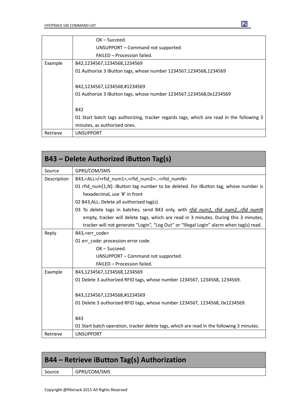|          | $OK - Succeed.$                                                                          |
|----------|------------------------------------------------------------------------------------------|
|          | UNSUPPORT - Command not supported.                                                       |
|          | FAILED - Procession failed.                                                              |
| Example  | B42,1234567,1234568,1234569                                                              |
|          | 01 Authorize 3 iButton tags, whose number 1234567,1234568,1234569                        |
|          | B42,1234567,1234568,#1234569                                                             |
|          | 01 Authorize 3 iButton tags, whose number 1234567,1234568,0x1234569                      |
|          | <b>B42</b>                                                                               |
|          | 01 Start batch tags authorizing, tracker regards tags, which are read in the following 3 |
|          | minutes, as authorized ones.                                                             |
| Retrieve | <b>UNSUPPORT</b>                                                                         |

|             | B43 – Delete Authorized iButton Tag(s)                                                    |
|-------------|-------------------------------------------------------------------------------------------|
| Source      | GPRS/COM/SMS                                                                              |
| Description | B43, <all>/<rfid num1="">,<rfid num2=""><rfid numn=""></rfid></rfid></rfid></all>         |
|             | 01 rfid_num[1,N]: iButton tag number to be deleted. For iButton tag, whose number is      |
|             | hexadecimal, use '#' in front                                                             |
|             | 02 B43, ALL: Delete all authorized tag(s).                                                |
|             | 03 To delete tags in batches, send B43 only, with rfid num1, rfid num2rfid numN           |
|             | empty, tracker will delete tags, which are read in 3 minutes. During this 3 minutes,      |
|             | tracker will not generate "Login", "Log Out" or "Illegal Login" alarm when tag(s) read.   |
| Reply       | B43, <err code=""></err>                                                                  |
|             | 01 err code: procession error code.                                                       |
|             | OK-Succeed.                                                                               |
|             | UNSUPPORT - Command not supported.                                                        |
|             | FAILED - Procession failed.                                                               |
| Example     | B43,1234567,1234568,1234569                                                               |
|             | 01 Delete 3 authorized RFID tags, whose number 1234567, 1234568, 1234569.                 |
|             | B43,1234567,1234568,#1234569                                                              |
|             | 01 Delete 3 authorized RFID tags, whose number 1234567, 1234568, 0x1234569.               |
|             | <b>B43</b>                                                                                |
|             | 01 Start batch operation, tracker delete tags, which are read in the following 3 minutes. |
| Retrieve    | <b>UNSUPPORT</b>                                                                          |

| B44 - Retrieve iButton Tag(s) Authorization |              |
|---------------------------------------------|--------------|
| Source                                      | GPRS/COM/SMS |
|                                             |              |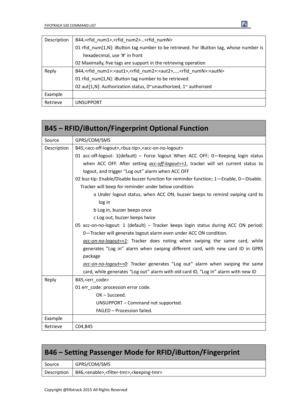| Description | B44, <rfid_num1>,<rfid_num2><rfid_numn></rfid_numn></rfid_num2></rfid_num1>                                            |
|-------------|------------------------------------------------------------------------------------------------------------------------|
|             | 01 rfid num[1,N]: iButton tag number to be retrieved. For iButton tag, whose number is                                 |
|             | hexadecimal, use '#' in front                                                                                          |
|             | 02 Maximally, five tags are support in the retrieving operation                                                        |
| Reply       | B44, <rfid_num1>:<aut1>,<rfid_num2>:<aut2>,<rfid_numn>:<autn></autn></rfid_numn></aut2></rfid_num2></aut1></rfid_num1> |
|             | 01 rfid num[1,N]: iButton tag number to be retrieved.                                                                  |
|             | 02 aut[1,N]: Authorization status, 0~unauthorized, 1~ authorized                                                       |
| Example     |                                                                                                                        |
| Retrieve    | UNSUPPORT                                                                                                              |

|             | <b>B45 - RFID/iButton/Fingerprint Optional Function</b>                                              |
|-------------|------------------------------------------------------------------------------------------------------|
| Source      | GPRS/COM/SMS                                                                                         |
| Description | B45, <acc-off-logout>,<buz-tip>,<acc-on-no-logout></acc-on-no-logout></buz-tip></acc-off-logout>     |
|             | 01 acc-off-logout: 1(default) - Force logout When ACC OFF; 0-Keeping login status                    |
|             | when ACC OFF. After setting $\frac{acc-off\text{-}logout==1}{}$ , tracker will set current status to |
|             | logout, and trigger "Log out" alarm when ACC OFF                                                     |
|             | 02 buz-tip: Enable/Disable buzzer function for reminder function; 1-Enable, 0-Disable.               |
|             | Tracker will beep for reminder under below condition:                                                |
|             | a Under logout status, when ACC ON, buzzer beeps to remind swiping card to                           |
|             | log in                                                                                               |
|             | b Log in, buzzer beeps once                                                                          |
|             | c Log out, buzzer beeps twice                                                                        |
|             | 05 acc-on-no-logout: 1 (default) - Tracker keeps login status during ACC ON period;                  |
|             | 0-Tracker will generate logout alarm even under ACC ON condition.                                    |
|             | $\alpha$ cc-on-no-logout==1: Tracker does noting when swiping the same card, while                   |
|             | generates "Log in" alarm when swiping different card, with new card ID in GPRS                       |
|             | package                                                                                              |
|             | $\alpha$ cc-on-no-logout== $Q$ : Tracker generates "Log out" alarm when swiping the same             |
|             | card, while generates "Log out" alarm with old card ID, "Log in" alarm with new ID                   |
| Reply       | B45, <err_code></err_code>                                                                           |
|             | 01 err_code: procession error code.                                                                  |
|             | OK-Succeed.                                                                                          |
|             | UNSUPPORT - Command not supported.                                                                   |
|             | FAILED - Procession failed.                                                                          |
| Example     |                                                                                                      |
| Retrieve    | C04, B45                                                                                             |

| <b>B46 – Setting Passenger Mode for RFID/iButton/Fingerprint</b> |                                                                              |  |
|------------------------------------------------------------------|------------------------------------------------------------------------------|--|
| Source                                                           | GPRS/COM/SMS                                                                 |  |
| Description                                                      | B46, <enable>,<filter-tmr>,<keeping-tmr></keeping-tmr></filter-tmr></enable> |  |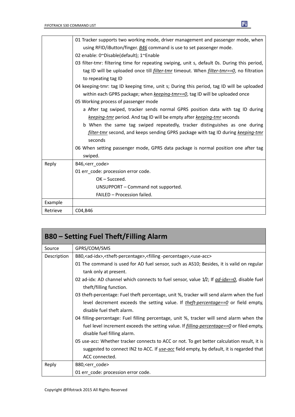$\overline{1}$ 

|          | 01 Tracker supports two working mode, driver management and passenger mode, when                       |
|----------|--------------------------------------------------------------------------------------------------------|
|          | using RFID/iButton/finger. B46 command is use to set passenger mode.                                   |
|          | 02 enable: 0~Disable(default); 1~Enable                                                                |
|          | 03 filter-tmr: filtering time for repeating swiping, unit s, default 0s. During this period,           |
|          | tag ID will be uploaded once till <i>filter-tmr</i> timeout. When <i>filter-tmr==0</i> , no filtration |
|          | to repeating tag ID                                                                                    |
|          | 04 keeping-tmr: tag ID keeping time, unit s; During this period, tag ID will be uploaded               |
|          | within each GPRS package; when keeping-tmr==0, tag ID will be uploaded once                            |
|          | 05 Working process of passenger mode                                                                   |
|          | a After tag swiped, tracker sends normal GPRS position data with tag ID during                         |
|          | keeping-tmr period. And tag ID will be empty after keeping-tmr seconds                                 |
|          | b When the same tag swiped repeatedly, tracker distinguishes as one during                             |
|          | filter-tmr second, and keeps sending GPRS package with tag ID during keeping-tmr                       |
|          | seconds                                                                                                |
|          | 06 When setting passenger mode, GPRS data package is normal position one after tag                     |
|          | swiped.                                                                                                |
| Reply    | B46, <err code=""></err>                                                                               |
|          | 01 err code: procession error code.                                                                    |
|          | $OK - Succeed.$                                                                                        |
|          | UNSUPPORT - Command not supported.                                                                     |
|          | FAILED - Procession failed.                                                                            |
| Example  |                                                                                                        |
| Retrieve | C04, B46                                                                                               |

| <b>B80 – Setting Fuel Theft/Filling Alarm</b> |                                                                                                                                            |  |
|-----------------------------------------------|--------------------------------------------------------------------------------------------------------------------------------------------|--|
| Source                                        | GPRS/COM/SMS                                                                                                                               |  |
| Description                                   | B80, <ad-idx>,<theft-percentage>,<filling-percentage>,<use-acc></use-acc></filling-percentage></theft-percentage></ad-idx>                 |  |
|                                               | 01 The command is used for AD fuel sensor, such as AS10; Besides, it is valid on regular<br>tank only at present.                          |  |
|                                               | 02 ad-idx: AD channel which connects to fuel sensor, value $1/2$ ; If $\frac{ad - idx = -0}{ds}$ , disable fuel<br>theft/filling function. |  |
|                                               | 03 theft-percentage: Fuel theft percentage, unit %, tracker will send alarm when the fuel                                                  |  |
|                                               | level decrement exceeds the setting value. If <i>theft-percentage==0</i> or field empty,<br>disable fuel theft alarm.                      |  |
|                                               | 04 filling-percentage: Fuel filling percentage, unit %, tracker will send alarm when the                                                   |  |
|                                               | fuel level increment exceeds the setting value. If <i>filling-percentage==0</i> or filed empty,<br>disable fuel filling alarm.             |  |
|                                               | 05 use-acc: Whether tracker connects to ACC or not. To get better calculation result, it is                                                |  |
|                                               | suggested to connect IN2 to ACC. If use-acc field empty, by default, it is regarded that                                                   |  |
|                                               | ACC connected.                                                                                                                             |  |
| Reply                                         | B80, <err_code></err_code>                                                                                                                 |  |
|                                               | 01 err_code: procession error code.                                                                                                        |  |



٦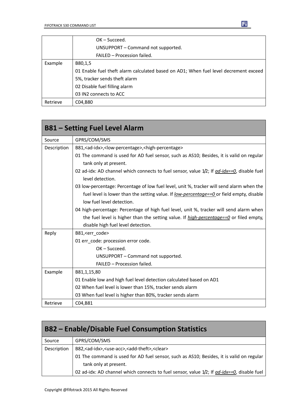|          | $OK - Succed.$                                                                       |
|----------|--------------------------------------------------------------------------------------|
|          | UNSUPPORT - Command not supported.                                                   |
|          | FAILED - Procession failed.                                                          |
| Example  | B80,1,5                                                                              |
|          | 01 Enable fuel theft alarm calculated based on AD1; When fuel level decrement exceed |
|          | 5%, tracker sends theft alarm                                                        |
|          | 02 Disable fuel filling alarm                                                        |
|          | 03 IN2 connects to ACC                                                               |
| Retrieve | C04,B80                                                                              |

|             | <b>B81 - Setting Fuel Level Alarm</b>                                                                                |
|-------------|----------------------------------------------------------------------------------------------------------------------|
| Source      | GPRS/COM/SMS                                                                                                         |
| Description | B81, <ad-idx>,<low-percentage>,<high-percentage></high-percentage></low-percentage></ad-idx>                         |
|             | 01 The command is used for AD fuel sensor, such as AS10; Besides, it is valid on regular<br>tank only at present.    |
|             | 02 ad-idx: AD channel which connects to fuel sensor, value $1/2$ ; If $ad$ -idx==0, disable fuel<br>level detection. |
|             | 03 low-percentage: Percentage of low fuel level, unit %, tracker will send alarm when the                            |
|             | fuel level is lower than the setting value. If <u>low-percentage==0</u> or field empty, disable                      |
|             | low fuel level detection.                                                                                            |
|             | 04 high-percentage: Percentage of high fuel level, unit %, tracker will send alarm when                              |
|             | the fuel level is higher than the setting value. If <i>high-percentage==0</i> or filed empty,                        |
|             | disable high fuel level detection.                                                                                   |
| Reply       | B81, <err code=""></err>                                                                                             |
|             | 01 err code: procession error code.                                                                                  |
|             | $OK - Succeed.$                                                                                                      |
|             | UNSUPPORT - Command not supported.                                                                                   |
|             | FAILED - Procession failed.                                                                                          |
| Example     | B81,1,15,80                                                                                                          |
|             | 01 Enable low and high fuel level detection calculated based on AD1                                                  |
|             | 02 When fuel level is lower than 15%, tracker sends alarm                                                            |
|             | 03 When fuel level is higher than 80%, tracker sends alarm                                                           |
| Retrieve    | C04,B81                                                                                                              |

| <b>B82 – Enable/Disable Fuel Consumption Statistics</b>                                    |                                                                                                                   |
|--------------------------------------------------------------------------------------------|-------------------------------------------------------------------------------------------------------------------|
| Source                                                                                     | GPRS/COM/SMS                                                                                                      |
| Description                                                                                | B82, <ad-idx>,<use-acc>,<add-theft>,<clear></clear></add-theft></use-acc></ad-idx>                                |
|                                                                                            | 01 The command is used for AD fuel sensor, such as AS10; Besides, it is valid on regular<br>tank only at present. |
| 02 ad-idx: AD channel which connects to fuel sensor, value 1/2; If ad-idx==0, disable fuel |                                                                                                                   |

 $\mathbf{F}$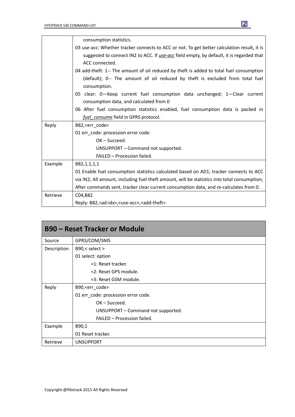|          | consumption statistics.                                                                      |
|----------|----------------------------------------------------------------------------------------------|
|          | 03 use-acc: Whether tracker connects to ACC or not. To get better calculation result, it is  |
|          | suggested to connect IN2 to ACC. If use-acc field empty, by default, it is regarded that     |
|          | ACC connected.                                                                               |
|          | 04 add-theft: 1-- The amount of oil reduced by theft is added to total fuel consumption      |
|          | (default); 0-- The amount of oil reduced by theft is excluded from total fuel                |
|          | consumption.                                                                                 |
|          | 05 clear: 0-Keep current fuel consumption data unchanged; 1-Clear current                    |
|          | consumption data, and calculated from 0                                                      |
|          | 06 After fuel consumption statistics enabled, fuel consumption data is packed in             |
|          | fuel consume field in GPRS protocol.                                                         |
| Reply    | B82, <err_code></err_code>                                                                   |
|          | 01 err_code: procession error code.                                                          |
|          | $OK - Succeed.$                                                                              |
|          | UNSUPPORT - Command not supported.                                                           |
|          | FAILED - Procession failed.                                                                  |
| Example  | B82,1,1,1,1                                                                                  |
|          | 01 Enable fuel consumption statistics calculated based on AD1; tracker connects to ACC       |
|          | via IN2; All amount, including fuel theft amount, will be statistics into total consumption; |
|          | After commands sent, tracker clear current consumption data, and re-calculates from 0.       |
| Retrieve | C04, B82                                                                                     |
|          | Reply: B82, < ad-idx>, < use-acc>, < add-theft>                                              |

| <b>B90 - Reset Tracker or Module</b> |                                     |  |
|--------------------------------------|-------------------------------------|--|
| Source                               | GPRS/COM/SMS                        |  |
| Description                          | B90,< select >                      |  |
|                                      | 01 select: option                   |  |
|                                      | $=1$ : Reset tracker.               |  |
|                                      | =2: Reset GPS module.               |  |
|                                      | =3: Reset GSM module.               |  |
| Reply                                | B90, <err_code></err_code>          |  |
|                                      | 01 err_code: procession error code. |  |
|                                      | OK-Succeed.                         |  |
|                                      | UNSUPPORT - Command not supported.  |  |
|                                      | FAILED - Procession failed.         |  |
| Example                              | B90,1                               |  |
|                                      | 01 Reset tracker.                   |  |
| Retrieve                             | <b>UNSUPPORT</b>                    |  |

Ei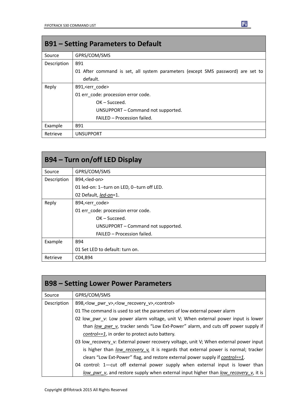| <b>B91 – Setting Parameters to Default</b> |                                                                                 |  |  |
|--------------------------------------------|---------------------------------------------------------------------------------|--|--|
| Source                                     | GPRS/COM/SMS                                                                    |  |  |
| Description                                | B91                                                                             |  |  |
|                                            | 01 After command is set, all system parameters (except SMS password) are set to |  |  |
|                                            | default.                                                                        |  |  |
| Reply                                      | B91, <err code=""></err>                                                        |  |  |
|                                            | 01 err code: procession error code.                                             |  |  |
|                                            | $OK - Succeed.$                                                                 |  |  |
|                                            | UNSUPPORT – Command not supported.                                              |  |  |
|                                            | FAILED - Procession failed.                                                     |  |  |
| Example                                    | B91                                                                             |  |  |
| Retrieve                                   | <b>UNSUPPORT</b>                                                                |  |  |

| B94 – Turn on/off LED Display |                                             |  |
|-------------------------------|---------------------------------------------|--|
| Source                        | GPRS/COM/SMS                                |  |
| Description                   | B94, <led-on></led-on>                      |  |
|                               | 01 led-on: 1--turn on LED, 0--turn off LED. |  |
|                               | 02 Default, led-on=1.                       |  |
| Reply                         | B94, <err code=""></err>                    |  |
|                               | 01 err_code: procession error code.         |  |
|                               | $OK - Succeed.$                             |  |
|                               | UNSUPPORT - Command not supported.          |  |
|                               | FAILED - Procession failed.                 |  |
| Example                       | <b>B94</b>                                  |  |
|                               | 01 Set LED to default: turn on.             |  |
| Retrieve                      | C04, B94                                    |  |

| <b>B98 – Setting Lower Power Parameters</b> |                                                                                       |  |  |
|---------------------------------------------|---------------------------------------------------------------------------------------|--|--|
| Source                                      | GPRS/COM/SMS                                                                          |  |  |
| Description                                 | B98, <low_pwr_v>,<low_recovery_v>,<control></control></low_recovery_v></low_pwr_v>    |  |  |
|                                             | 01 The command is used to set the parameters of low external power alarm              |  |  |
|                                             | 02 low_pwr_v: Low power alarm voltage, unit V; When external power input is lower     |  |  |
|                                             | than low pwr v, tracker sends "Low Ext-Power" alarm, and cuts off power supply if     |  |  |
|                                             | <i>control==1,</i> in order to protect auto battery.                                  |  |  |
|                                             | 03 low_recovery_v: External power recovery voltage, unit V; When external power input |  |  |
|                                             | is higher than low recovery v, it is regards that external power is normal; tracker   |  |  |
|                                             | clears "Low Ext-Power" flag, and restore external power supply if control==1.         |  |  |
|                                             | 04 control: 1—cut off external power supply when external input is lower than         |  |  |
|                                             | low pwr v, and restore supply when external input higher than low recovery v, it is   |  |  |

 $F<sub>i</sub>$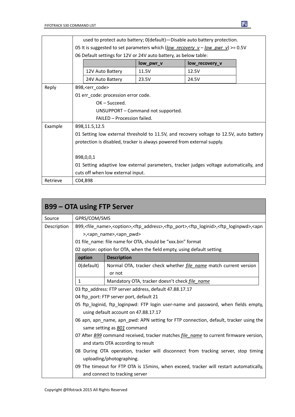|          | used to protect auto battery; O(default) - Disable auto battery protection.     |                                     |       |                                                                                         |  |
|----------|---------------------------------------------------------------------------------|-------------------------------------|-------|-----------------------------------------------------------------------------------------|--|
|          | 05 It is suggested to set parameters which (low_recovery_v – low_pwr_v) >= 0.5V |                                     |       |                                                                                         |  |
|          | 06 Default settings for 12V or 24V auto battery, as below table:                |                                     |       |                                                                                         |  |
|          |                                                                                 | low_pwr_v<br>low_recovery_v         |       |                                                                                         |  |
|          |                                                                                 | 12V Auto Battery                    | 11.5V | 12.5V                                                                                   |  |
|          |                                                                                 | 24V Auto Battery                    | 23.5V | 24.5V                                                                                   |  |
| Reply    | B98, < err_code>                                                                |                                     |       |                                                                                         |  |
|          |                                                                                 | 01 err_code: procession error code. |       |                                                                                         |  |
|          | $OK - Succeed.$                                                                 |                                     |       |                                                                                         |  |
|          | UNSUPPORT - Command not supported.                                              |                                     |       |                                                                                         |  |
|          |                                                                                 | FAILED - Procession failed.         |       |                                                                                         |  |
| Example  | B98,11.5,12.5                                                                   |                                     |       |                                                                                         |  |
|          |                                                                                 |                                     |       | 01 Setting low external threshold to 11.5V, and recovery voltage to 12.5V, auto battery |  |
|          | protection is disabled, tracker is always powered from external supply.         |                                     |       |                                                                                         |  |
|          |                                                                                 |                                     |       |                                                                                         |  |
|          | B98,0,0,1                                                                       |                                     |       |                                                                                         |  |
|          |                                                                                 |                                     |       | 01 Setting adaptive low external parameters, tracker judges voltage automatically, and  |  |
|          |                                                                                 | cuts off when low external input.   |       |                                                                                         |  |
| Retrieve | C04,B98                                                                         |                                     |       |                                                                                         |  |

| <b>B99 – OTA using FTP Server</b> |                                                                                                     |                                                                                                                                                                                |  |  |
|-----------------------------------|-----------------------------------------------------------------------------------------------------|--------------------------------------------------------------------------------------------------------------------------------------------------------------------------------|--|--|
| Source                            | GPRS/COM/SMS                                                                                        |                                                                                                                                                                                |  |  |
| Description                       |                                                                                                     | B99, <file_name>,<option>,<ftp_address>,<ftp_port>,<ftp_loginid>,<ftp_loginpwd>,<apn< td=""></apn<></ftp_loginpwd></ftp_loginid></ftp_port></ftp_address></option></file_name> |  |  |
|                                   |                                                                                                     | >, <apn_name>,<apn_pwd></apn_pwd></apn_name>                                                                                                                                   |  |  |
|                                   |                                                                                                     | 01 file name: file name for OTA, should be "xxx.bin" format                                                                                                                    |  |  |
|                                   |                                                                                                     | 02 option: option for OTA, when the field empty, using default setting                                                                                                         |  |  |
|                                   | option                                                                                              | <b>Description</b>                                                                                                                                                             |  |  |
|                                   | 0(default)                                                                                          | Normal OTA, tracker check whether <i>file name</i> match current version                                                                                                       |  |  |
|                                   |                                                                                                     | or not                                                                                                                                                                         |  |  |
|                                   | 1                                                                                                   | Mandatory OTA, tracker doesn't check file name                                                                                                                                 |  |  |
|                                   |                                                                                                     | 03 ftp address: FTP server address, default 47.88.17.17                                                                                                                        |  |  |
|                                   | 04 ftp port: FTP server port, default 21                                                            |                                                                                                                                                                                |  |  |
|                                   | 05 ftp_loginid, ftp_loginpwd: FTP login user-name and password, when fields empty,                  |                                                                                                                                                                                |  |  |
|                                   | using default account on 47.88.17.17                                                                |                                                                                                                                                                                |  |  |
|                                   | 06 apn, apn_name, apn_pwd: APN setting for FTP connection, default, tracker using the               |                                                                                                                                                                                |  |  |
|                                   | same setting as <b>BO1</b> command                                                                  |                                                                                                                                                                                |  |  |
|                                   | 07 After <b>B99</b> command received, tracker matches <i>file name</i> to current firmware version, |                                                                                                                                                                                |  |  |
|                                   | and starts OTA according to result                                                                  |                                                                                                                                                                                |  |  |
|                                   |                                                                                                     | 08 During OTA operation, tracker will disconnect from tracking server, stop timing                                                                                             |  |  |
|                                   | uploading/photographing.                                                                            |                                                                                                                                                                                |  |  |
|                                   |                                                                                                     | 09 The timeout for FTP OTA is 15mins, when exceed, tracker will restart automatically,                                                                                         |  |  |
|                                   |                                                                                                     | and connect to tracking server                                                                                                                                                 |  |  |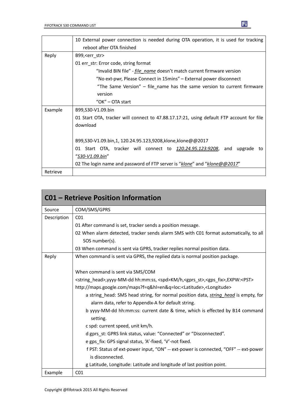|          | 10 External power connection is needed during OTA operation, it is used for tracking     |  |  |
|----------|------------------------------------------------------------------------------------------|--|--|
|          | reboot after OTA finished                                                                |  |  |
| Reply    | B99, < err_str                                                                           |  |  |
|          | 01 err_str: Error code, string format                                                    |  |  |
|          | "Invalid BIN file" - <i>file name</i> doesn't match current firmware version             |  |  |
|          | "No ext-pwr, Please Connect in 15mins" – External power disconnect                       |  |  |
|          | "The Same Version" – file_name has the same version to current firmware                  |  |  |
|          | version                                                                                  |  |  |
|          | "OK" – OTA start                                                                         |  |  |
| Example  | B99,S30-V1.09.bin                                                                        |  |  |
|          | 01 Start OTA, tracker will connect to 47.88.17.17:21, using default FTP account for file |  |  |
|          | download                                                                                 |  |  |
|          |                                                                                          |  |  |
|          | B99, S30-V1.09.bin, 1, 120.24.95.123, 9208, klone, klone@@2017                           |  |  |
|          | 01 Start OTA, tracker will connect to 120.24.95.123:9208, and<br>upgrade<br>to           |  |  |
|          | "S30-V1.09.bin"                                                                          |  |  |
|          | 02 The login name and password of FTP server is "klone" and "klone@@2017"                |  |  |
| Retrieve |                                                                                          |  |  |

|             | <b>C01 - Retrieve Position Information</b>                                                                                                                                                                                                        |
|-------------|---------------------------------------------------------------------------------------------------------------------------------------------------------------------------------------------------------------------------------------------------|
| Source      | COM/SMS/GPRS                                                                                                                                                                                                                                      |
| Description | CO <sub>1</sub>                                                                                                                                                                                                                                   |
|             | 01 After command is set, tracker sends a position message.                                                                                                                                                                                        |
|             | 02 When alarm detected, tracker sends alarm SMS with C01 format automatically, to all                                                                                                                                                             |
|             | SOS number(s).                                                                                                                                                                                                                                    |
|             | 03 When command is sent via GPRS, tracker replies normal position data.                                                                                                                                                                           |
| Reply       | When command is sent via GPRS, the replied data is normal position package.                                                                                                                                                                       |
|             | When command is sent via SMS/COM<br><string head="">, yyyy-MM-dd hh:mm:ss, <spd>KM/h, <gprs st="">, <gps fix="">, EXPW:<pst></pst></gps></gprs></spd></string>                                                                                    |
|             | http://maps.google.com/maps?f=q&hl=en&q=loc: <latitude>,<longitude><br/>a string head: SMS head string, for normal position data, <i>string head</i> is empty, for<br/>alarm data, refer to Appendix-A for default string.</longitude></latitude> |
|             | b yyyy-MM-dd hh:mm:ss: current date & time, which is effected by B14 command<br>setting.                                                                                                                                                          |
|             | c spd: current speed, unit km/h.                                                                                                                                                                                                                  |
|             | d gprs st: GPRS link status, value: "Connected" or "Disconnected".                                                                                                                                                                                |
|             | e gps fix: GPS signal status, 'A'-fixed, 'V'-not fixed.                                                                                                                                                                                           |
|             | f PST: Status of ext-power input, "ON" -- ext-power is connected, "OFF" -- ext-power                                                                                                                                                              |
|             | is disconnected.                                                                                                                                                                                                                                  |
|             | g Latitude, Longitude: Latitude and longitude of last position point.                                                                                                                                                                             |
| Example     | CO <sub>1</sub>                                                                                                                                                                                                                                   |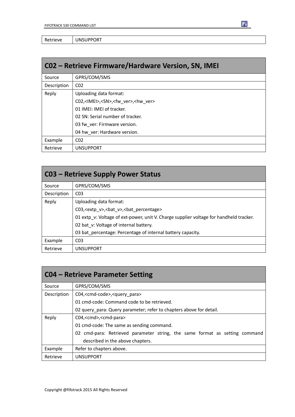Retrieve | UNSUPPORT

| C02 - Retrieve Firmware/Hardware Version, SN, IMEI |                                                                |  |
|----------------------------------------------------|----------------------------------------------------------------|--|
| Source                                             | GPRS/COM/SMS                                                   |  |
| Description                                        | CO <sub>2</sub>                                                |  |
| Reply                                              | Uploading data format:                                         |  |
|                                                    | C02, <imei>,<sn>,<fw ver="">,<hw ver=""></hw></fw></sn></imei> |  |
|                                                    | 01 IMEI: IMEI of tracker.                                      |  |
|                                                    | 02 SN: Serial number of tracker.                               |  |
|                                                    | 03 fw ver: Firmware version.                                   |  |
|                                                    | 04 hw ver: Hardware version.                                   |  |
| Example                                            | CO <sub>2</sub>                                                |  |
| Retrieve                                           | <b>UNSUPPORT</b>                                               |  |

| <b>C03 - Retrieve Supply Power Status</b> |                                                                                        |  |  |
|-------------------------------------------|----------------------------------------------------------------------------------------|--|--|
| Source                                    | GPRS/COM/SMS                                                                           |  |  |
| Description                               | CO <sub>3</sub>                                                                        |  |  |
| Reply                                     | Uploading data format:                                                                 |  |  |
|                                           | C03, <extp_v>,<bat_v>,<bat_percentage></bat_percentage></bat_v></extp_v>               |  |  |
|                                           | 01 extp v: Voltage of ext-power, unit V. Charge supplier voltage for handheld tracker. |  |  |
|                                           | 02 bat v: Voltage of internal battery.                                                 |  |  |
|                                           | 03 bat_percentage: Percentage of internal battery capacity.                            |  |  |
| Example                                   | CO <sub>3</sub>                                                                        |  |  |
| Retrieve                                  | <b>UNSUPPORT</b>                                                                       |  |  |

| <b>CO4 – Retrieve Parameter Setting</b> |                                                                             |  |  |
|-----------------------------------------|-----------------------------------------------------------------------------|--|--|
| Source                                  | GPRS/COM/SMS                                                                |  |  |
| Description                             | C04, <cmd-code>,<query para=""></query></cmd-code>                          |  |  |
|                                         | 01 cmd-code: Command code to be retrieved.                                  |  |  |
|                                         | 02 query para: Query parameter; refer to chapters above for detail.         |  |  |
| Reply                                   | C04, <cmd>,<cmd-para></cmd-para></cmd>                                      |  |  |
|                                         | 01 cmd-code: The same as sending command.                                   |  |  |
|                                         | 02 cmd-para: Retrieved parameter string, the same format as setting command |  |  |
|                                         | described in the above chapters.                                            |  |  |
| Example                                 | Refer to chapters above.                                                    |  |  |
| Retrieve                                | <b>UNSUPPORT</b>                                                            |  |  |

Ei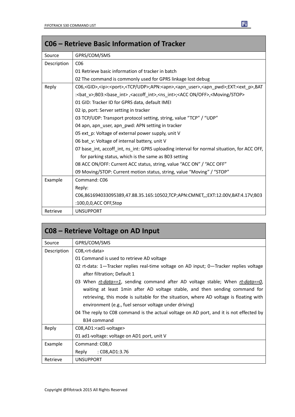|             | C06 – Retrieve Basic Information of Tracker                                                                                                   |
|-------------|-----------------------------------------------------------------------------------------------------------------------------------------------|
| Source      | GPRS/COM/SMS                                                                                                                                  |
| Description | C <sub>06</sub>                                                                                                                               |
|             | 01 Retrieve basic information of tracker in batch                                                                                             |
|             | 02 The command is commonly used for GPRS linkage lost debug                                                                                   |
| Reply       | C06, <gid>,<ip>:<port>,<tcp udp="">;APN:<apn>,<apn_user>,<apn_pwd>;EXT:<ext_p>,BAT</ext_p></apn_pwd></apn_user></apn></tcp></port></ip></gid> |
|             | : <bat_v>;B03:<base_int>,<accoff_int>,<ns_int>;<acc off="" on="">,<moving stop=""></moving></acc></ns_int></accoff_int></base_int></bat_v>    |
|             | 01 GID: Tracker ID for GPRS data, default IMEI                                                                                                |
|             | 02 ip, port: Server setting in tracker                                                                                                        |
|             | 03 TCP/UDP: Transport protocol setting, string, value "TCP" / "UDP"                                                                           |
|             | 04 apn, apn_user, apn_pwd: APN setting in tracker                                                                                             |
|             | 05 ext_p: Voltage of external power supply, unit V                                                                                            |
|             | 06 bat v: Voltage of internal battery, unit V                                                                                                 |
|             | 07 base int, accoff int, ns int: GPRS uploading interval for normal situation, for ACC OFF,                                                   |
|             | for parking status, which is the same as B03 setting                                                                                          |
|             | 08 ACC ON/OFF: Current ACC status, string, value "ACC ON" / "ACC OFF"                                                                         |
|             | 09 Moving/STOP: Current motion status, string, value "Moving" / "STOP"                                                                        |
| Example     | Command: C06                                                                                                                                  |
|             | Reply:                                                                                                                                        |
|             | C06,861694033095389,47.88.35.165:10502,TCP;APN:CMNET,,;EXT:12.00V,BAT:4.17V;B03                                                               |
|             | :100,0,0,ACC OFF,Stop                                                                                                                         |
| Retrieve    | <b>UNSUPPORT</b>                                                                                                                              |

| C08 - Retrieve Voltage on AD Input |                                                                                         |  |  |
|------------------------------------|-----------------------------------------------------------------------------------------|--|--|
| Source                             | GPRS/COM/SMS                                                                            |  |  |
| Description                        | $CO8$ , $<$ rt-data $>$                                                                 |  |  |
|                                    | 01 Command is used to retrieve AD voltage                                               |  |  |
|                                    | 02 rt-data: 1—Tracker replies real-time voltage on AD input; 0—Tracker replies voltage  |  |  |
|                                    | after filtration; Default 1                                                             |  |  |
|                                    | 03 When rt-data==1, sending command after AD voltage stable; When rt-data==0,           |  |  |
|                                    | waiting at least 1min after AD voltage stable, and then sending command for             |  |  |
|                                    | retrieving, this mode is suitable for the situation, where AD voltage is floating with  |  |  |
|                                    | environment (e.g., fuel sensor voltage under driving)                                   |  |  |
|                                    | 04 The reply to C08 command is the actual voltage on AD port, and it is not effected by |  |  |
|                                    | B <sub>34</sub> command                                                                 |  |  |
| Reply                              | C08, AD1: < ad1-voltage>                                                                |  |  |
|                                    | 01 ad1-voltage: voltage on AD1 port, unit V                                             |  |  |
| Example                            | Command: C08,0                                                                          |  |  |
|                                    | Reply<br>C08,AD1:3.76 :                                                                 |  |  |
| Retrieve                           | <b>UNSUPPORT</b>                                                                        |  |  |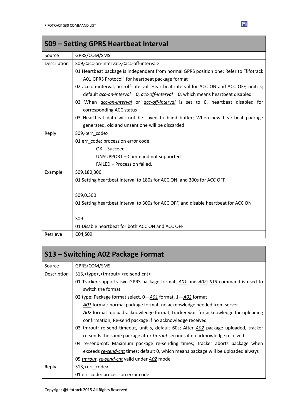|             | S09 - Setting GPRS Heartbeat Interval                                                         |
|-------------|-----------------------------------------------------------------------------------------------|
| Source      | GPRS/COM/SMS                                                                                  |
| Description | S09, <acc-on-interval>, <acc-off-interval></acc-off-interval></acc-on-interval>               |
|             | 01 Heartbeat package is independent from normal GPRS position one; Refer to "fifotrack        |
|             | A01 GPRS Protocol" for heartbeat package format                                               |
|             | 02 acc-on-interval, acc-off-interval: Heartbeat interval for ACC ON and ACC OFF, unit: s;     |
|             | default <i>acc-on-interval==0, acc-off-interval==0</i> , which means heartbeat disabled       |
|             | 03 When <i>acc-on-interval</i> or <i>acc-off-interval</i> is set to 0, heartbeat disabled for |
|             | corresponding ACC status                                                                      |
|             | 03 Heartbeat data will not be saved to blind buffer; When new heartbeat package               |
|             | generated, old and unsent one will be discarded                                               |
| Reply       | S09, <err code=""></err>                                                                      |
|             | 01 err code: procession error code.                                                           |
|             | OK-Succeed.                                                                                   |
|             | UNSUPPORT - Command not supported.                                                            |
|             | FAILED - Procession failed.                                                                   |
| Example     | S09,180,300                                                                                   |
|             | 01 Setting heartbeat interval to 180s for ACC ON, and 300s for ACC OFF                        |
|             | S09,0,300                                                                                     |
|             | 01 Setting heartbeat interval to 300s for ACC OFF, and disable heartbeat for ACC ON           |
|             | <b>SO9</b>                                                                                    |
|             | 01 Disable heartbeat for both ACC ON and ACC OFF                                              |
| Retrieve    | C04,S09                                                                                       |

| S13 – Switching A02 Package Format |                                                                                      |  |  |
|------------------------------------|--------------------------------------------------------------------------------------|--|--|
| Source                             | GPRS/COM/SMS                                                                         |  |  |
| Description                        | S13, <type>,<tmrout>,<re-send-cnt></re-send-cnt></tmrout></type>                     |  |  |
|                                    | 01 Tracker supports two GPRS package format, A01 and A02; S13 command is used to     |  |  |
|                                    | switch the format                                                                    |  |  |
|                                    | 02 type: Package format select, 0-A01 format, 1-A02 format                           |  |  |
|                                    | A01 format: normal package format, no acknowledge needed from server                 |  |  |
|                                    | A02 format: uolpad-acknowledge format, tracker wait for acknowledge for uploading    |  |  |
|                                    | confirmation; Re-send package if no acknowledge received                             |  |  |
|                                    | 03 tmrout: re-send timeout, unit s, default 60s; After A02 package uploaded, tracker |  |  |
|                                    | re-sends the same package after <i>tmrout</i> seconds if no acknowledge received     |  |  |
|                                    | 04 re-send-cnt: Maximum package re-sending times; Tracker aborts package when        |  |  |
|                                    | exceeds re-send-cnt times; default 0, which means package will be uploaded always    |  |  |
|                                    | 05 tmrout, re-send-cnt valid under A02 mode                                          |  |  |
| Reply                              | S13, <err_code></err_code>                                                           |  |  |
|                                    | 01 err_code: procession error code.                                                  |  |  |

E

ī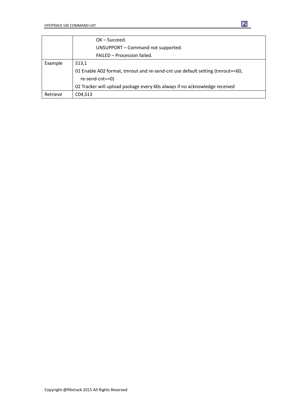|          | $OK - Succeed.$                                                                                  |  |  |  |
|----------|--------------------------------------------------------------------------------------------------|--|--|--|
|          | UNSUPPORT - Command not supported.                                                               |  |  |  |
|          | FAILED - Procession failed.                                                                      |  |  |  |
| Example  | S <sub>13,1</sub>                                                                                |  |  |  |
|          | 01 Enable A02 format, tmrout and re-send-cnt use default setting (tmrout==60,<br>re-send-cnt==0) |  |  |  |
|          | 02 Tracker will upload package every 60s always if no acknowledge received                       |  |  |  |
| Retrieve | C04, S13                                                                                         |  |  |  |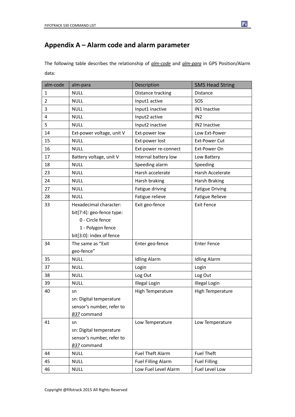### **Appendix A – Alarm code and alarm parameter**

The following table describes the relationship of *alm-code* and *alm-para* in GPS Position/Alarm data:

| alm-code       | alm-para                  | Description               | <b>SMS Head String</b> |
|----------------|---------------------------|---------------------------|------------------------|
| $\mathbf{1}$   | <b>NULL</b>               | Distance tracking         | Distance               |
| $\overline{2}$ | <b>NULL</b>               | Input1 active             | SOS                    |
| 3              | <b>NULL</b>               | Input1 inactive           | IN1 Inactive           |
| 4              | <b>NULL</b>               | Input2 active             | IN <sub>2</sub>        |
| 5              | <b>NULL</b>               | Input2 inactive           | IN2 Inactive           |
| 14             | Ext-power voltage, unit V | Ext-power low             | Low Ext-Power          |
| 15             | <b>NULL</b>               | Ext-power lost            | <b>Ext-Power Cut</b>   |
| 16             | <b>NULL</b>               | Ext-power re-connect      | Ext-Power On           |
| 17             | Battery voltage, unit V   | Internal battery low      | Low Battery            |
| 18             | <b>NULL</b>               | Speeding alarm            | Speeding               |
| 23             | <b>NULL</b>               | Harsh accelerate          | Harsh Accelerate       |
| 24             | <b>NULL</b>               | Harsh braking             | <b>Harsh Braking</b>   |
| 27             | <b>NULL</b>               | Fatigue driving           | <b>Fatigue Driving</b> |
| 28             | <b>NULL</b>               | Fatigue relieve           | <b>Fatigue Relieve</b> |
| 33             | Hexadecimal character:    | Exit geo-fence            | <b>Exit Fence</b>      |
|                | bit[7:4]: geo-fence type: |                           |                        |
|                | 0 - Circle fence          |                           |                        |
|                | 1 - Polygon fence         |                           |                        |
|                | bit[3:0]: index of fence  |                           |                        |
| 34             | The same as "Exit         | Enter geo-fence           | <b>Enter Fence</b>     |
|                | geo-fence"                |                           |                        |
| 35             | <b>NULL</b>               | <b>Idling Alarm</b>       | <b>Idling Alarm</b>    |
| 37             | <b>NULL</b>               | Login                     | Login                  |
| 38             | <b>NULL</b>               | Log Out                   | Log Out                |
| 39             | <b>NULL</b>               | <b>Illegal Login</b>      | Illegal Login          |
| 40             | sn                        | <b>High Temperature</b>   | High Temperature       |
|                | sn: Digital temperature   |                           |                        |
|                | sensor's number, refer to |                           |                        |
|                | <b>B37</b> command        |                           |                        |
| 41             | sn                        | Low Temperature           | Low Temperature        |
|                | sn: Digital temperature   |                           |                        |
|                | sensor's number, refer to |                           |                        |
|                | B37 command               |                           |                        |
| 44             | <b>NULL</b>               | Fuel Theft Alarm          | <b>Fuel Theft</b>      |
| 45             | <b>NULL</b>               | <b>Fuel Filling Alarm</b> | <b>Fuel Filling</b>    |
| 46             | <b>NULL</b>               | Low Fuel Level Alarm      | Fuel Level Low         |